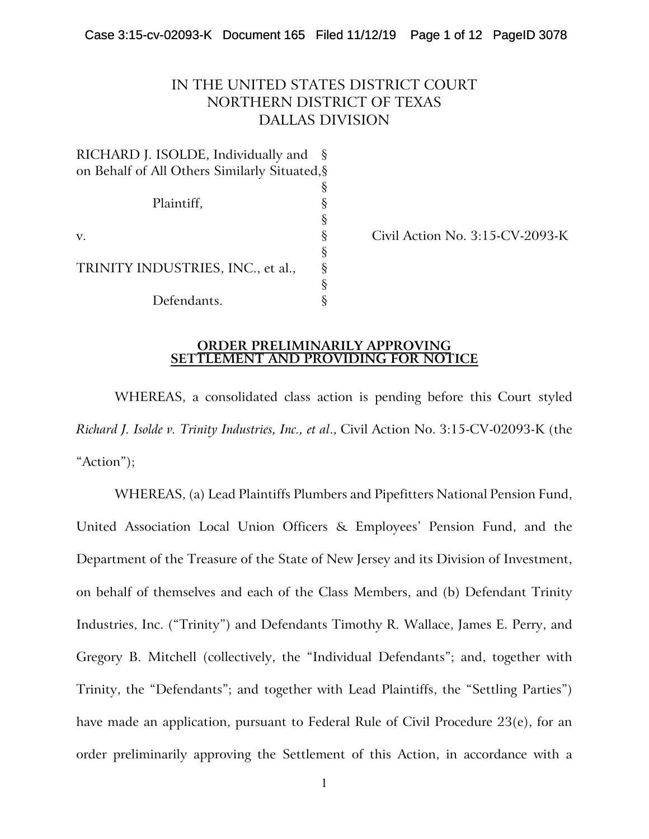# IN THE UNITED STATES DISTRICT COURT NORTHERN DISTRICT OF TEXAS DALLAS DIVISION

| RICHARD J. ISOLDE, Individually and           |   |
|-----------------------------------------------|---|
| on Behalf of All Others Similarly Situated, § |   |
|                                               |   |
| Plaintiff,                                    |   |
|                                               | ş |
| V.                                            | ş |
|                                               | § |
| TRINITY INDUSTRIES, INC., et al.,             | ş |
|                                               | § |
| Defendants.                                   |   |

Civil Action No. 3:15-CV-2093-K

#### **ORDER PRELIMINARILY APPROVING SETTLEMENT AND PROVIDING FOR NOTICE**

WHEREAS, a consolidated class action is pending before this Court styled *Richard J. Isolde v. Trinity Industries, Inc., et al*., Civil Action No. 3:15-CV-02093-K (the "Action");

WHEREAS, (a) Lead Plaintiffs Plumbers and Pipefitters National Pension Fund, United Association Local Union Officers & Employees' Pension Fund, and the Department of the Treasure of the State of New Jersey and its Division of Investment, on behalf of themselves and each of the Class Members, and (b) Defendant Trinity Industries, Inc. ("Trinity") and Defendants Timothy R. Wallace, James E. Perry, and Gregory B. Mitchell (collectively, the "Individual Defendants"; and, together with Trinity, the "Defendants"; and together with Lead Plaintiffs, the "Settling Parties") have made an application, pursuant to Federal Rule of Civil Procedure 23(e), for an order preliminarily approving the Settlement of this Action, in accordance with a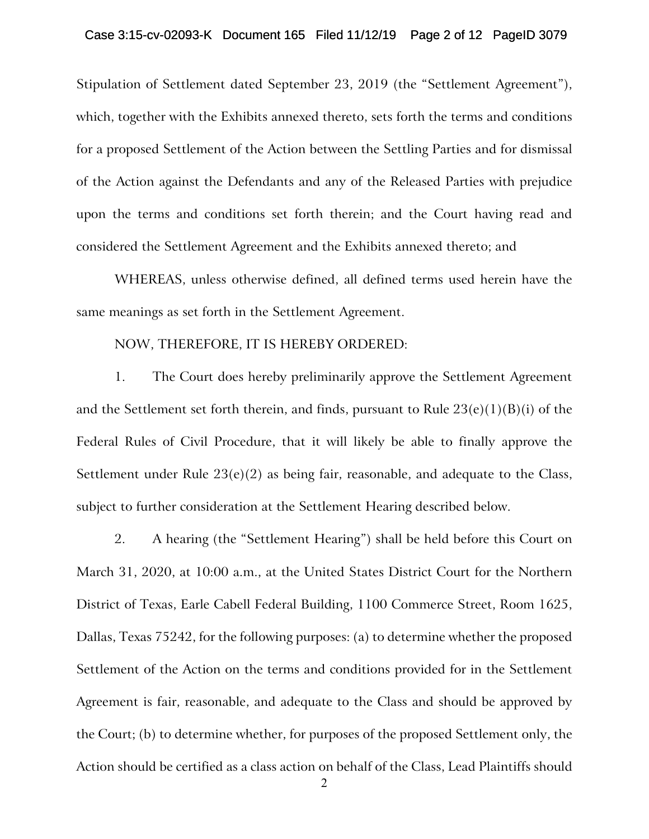#### Case 3:15-cv-02093-K Document 165 Filed 11/12/19 Page 2 of 12 PageID 3079

Stipulation of Settlement dated September 23, 2019 (the "Settlement Agreement"), which, together with the Exhibits annexed thereto, sets forth the terms and conditions for a proposed Settlement of the Action between the Settling Parties and for dismissal of the Action against the Defendants and any of the Released Parties with prejudice upon the terms and conditions set forth therein; and the Court having read and considered the Settlement Agreement and the Exhibits annexed thereto; and

WHEREAS, unless otherwise defined, all defined terms used herein have the same meanings as set forth in the Settlement Agreement.

#### NOW, THEREFORE, IT IS HEREBY ORDERED:

1. The Court does hereby preliminarily approve the Settlement Agreement and the Settlement set forth therein, and finds, pursuant to Rule  $23(e)(1)(B)(i)$  of the Federal Rules of Civil Procedure, that it will likely be able to finally approve the Settlement under Rule 23(e)(2) as being fair, reasonable, and adequate to the Class, subject to further consideration at the Settlement Hearing described below.

2. A hearing (the "Settlement Hearing") shall be held before this Court on March 31, 2020, at 10:00 a.m., at the United States District Court for the Northern District of Texas, Earle Cabell Federal Building, 1100 Commerce Street, Room 1625, Dallas, Texas 75242, for the following purposes: (a) to determine whether the proposed Settlement of the Action on the terms and conditions provided for in the Settlement Agreement is fair, reasonable, and adequate to the Class and should be approved by the Court; (b) to determine whether, for purposes of the proposed Settlement only, the Action should be certified as a class action on behalf of the Class, Lead Plaintiffs should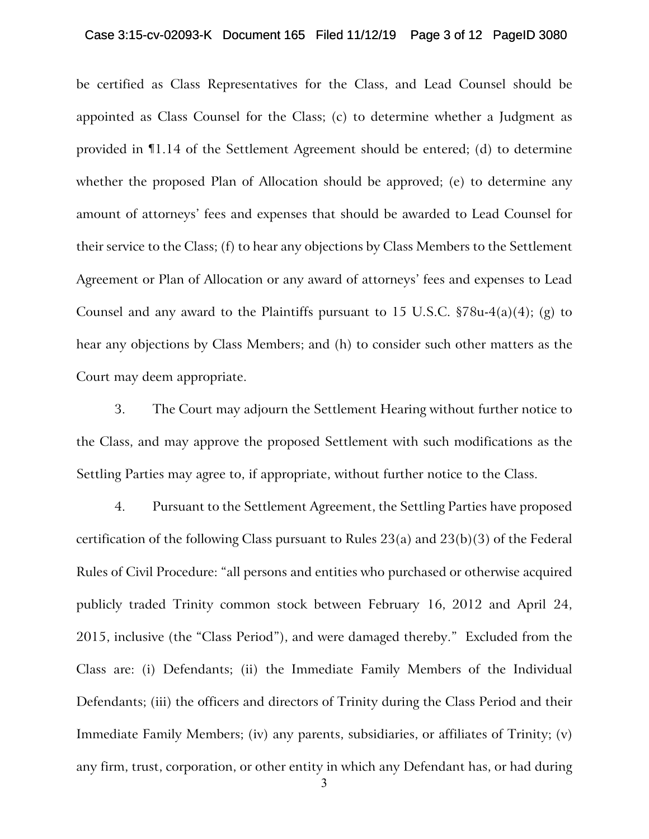#### Case 3:15-cv-02093-K Document 165 Filed 11/12/19 Page 3 of 12 PageID 3080

be certified as Class Representatives for the Class, and Lead Counsel should be appointed as Class Counsel for the Class; (c) to determine whether a Judgment as provided in ¶1.14 of the Settlement Agreement should be entered; (d) to determine whether the proposed Plan of Allocation should be approved; (e) to determine any amount of attorneys' fees and expenses that should be awarded to Lead Counsel for their service to the Class; (f) to hear any objections by Class Members to the Settlement Agreement or Plan of Allocation or any award of attorneys' fees and expenses to Lead Counsel and any award to the Plaintiffs pursuant to 15 U.S.C.  $$78u-4(a)(4)$ ; (g) to hear any objections by Class Members; and (h) to consider such other matters as the Court may deem appropriate.

3. The Court may adjourn the Settlement Hearing without further notice to the Class, and may approve the proposed Settlement with such modifications as the Settling Parties may agree to, if appropriate, without further notice to the Class.

4. Pursuant to the Settlement Agreement, the Settling Parties have proposed certification of the following Class pursuant to Rules 23(a) and 23(b)(3) of the Federal Rules of Civil Procedure: "all persons and entities who purchased or otherwise acquired publicly traded Trinity common stock between February 16, 2012 and April 24, 2015, inclusive (the "Class Period"), and were damaged thereby." Excluded from the Class are: (i) Defendants; (ii) the Immediate Family Members of the Individual Defendants; (iii) the officers and directors of Trinity during the Class Period and their Immediate Family Members; (iv) any parents, subsidiaries, or affiliates of Trinity; (v) any firm, trust, corporation, or other entity in which any Defendant has, or had during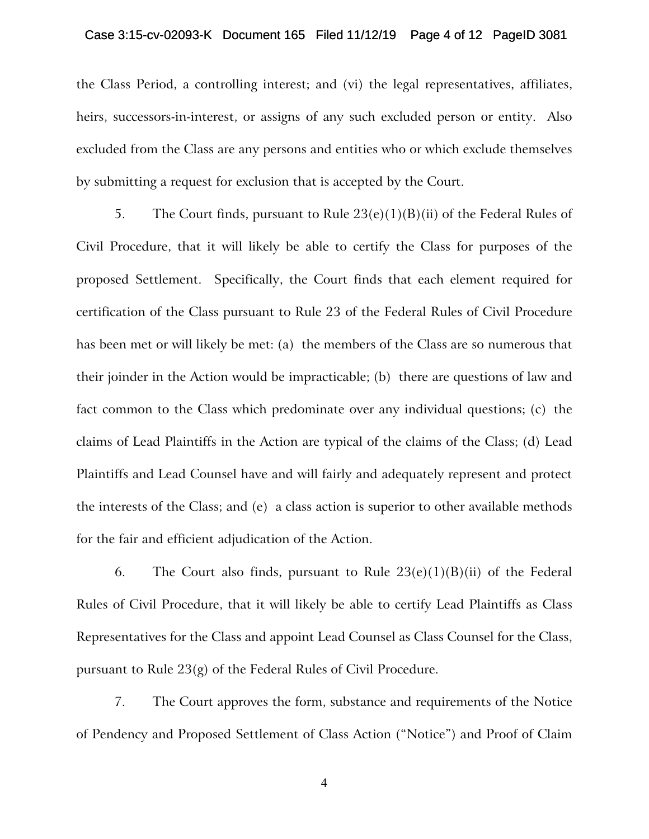#### Case 3:15-cv-02093-K Document 165 Filed 11/12/19 Page 4 of 12 PageID 3081

the Class Period, a controlling interest; and (vi) the legal representatives, affiliates, heirs, successors-in-interest, or assigns of any such excluded person or entity. Also excluded from the Class are any persons and entities who or which exclude themselves by submitting a request for exclusion that is accepted by the Court.

5. The Court finds, pursuant to Rule  $23(e)(1)(B)(ii)$  of the Federal Rules of Civil Procedure, that it will likely be able to certify the Class for purposes of the proposed Settlement. Specifically, the Court finds that each element required for certification of the Class pursuant to Rule 23 of the Federal Rules of Civil Procedure has been met or will likely be met: (a) the members of the Class are so numerous that their joinder in the Action would be impracticable; (b) there are questions of law and fact common to the Class which predominate over any individual questions; (c) the claims of Lead Plaintiffs in the Action are typical of the claims of the Class; (d) Lead Plaintiffs and Lead Counsel have and will fairly and adequately represent and protect the interests of the Class; and (e) a class action is superior to other available methods for the fair and efficient adjudication of the Action.

6. The Court also finds, pursuant to Rule  $23(e)(1)(B)(ii)$  of the Federal Rules of Civil Procedure, that it will likely be able to certify Lead Plaintiffs as Class Representatives for the Class and appoint Lead Counsel as Class Counsel for the Class, pursuant to Rule 23(g) of the Federal Rules of Civil Procedure.

7. The Court approves the form, substance and requirements of the Notice of Pendency and Proposed Settlement of Class Action ("Notice") and Proof of Claim

4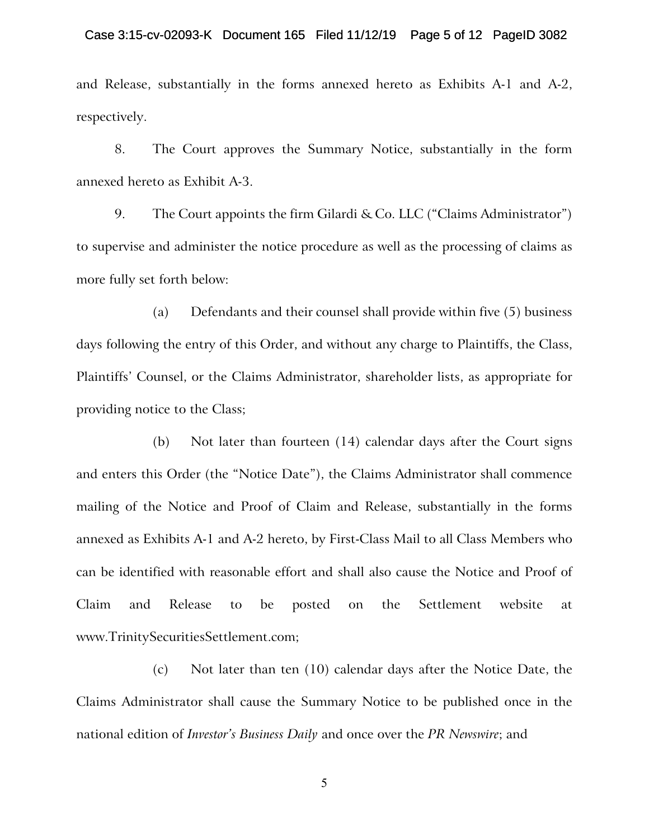#### Case 3:15-cv-02093-K Document 165 Filed 11/12/19 Page 5 of 12 PageID 3082

and Release, substantially in the forms annexed hereto as Exhibits A-1 and A-2, respectively.

8. The Court approves the Summary Notice, substantially in the form annexed hereto as Exhibit A-3.

9. The Court appoints the firm Gilardi & Co. LLC ("Claims Administrator") to supervise and administer the notice procedure as well as the processing of claims as more fully set forth below:

(a) Defendants and their counsel shall provide within five (5) business days following the entry of this Order, and without any charge to Plaintiffs, the Class, Plaintiffs' Counsel, or the Claims Administrator, shareholder lists, as appropriate for providing notice to the Class;

(b) Not later than fourteen (14) calendar days after the Court signs and enters this Order (the "Notice Date"), the Claims Administrator shall commence mailing of the Notice and Proof of Claim and Release, substantially in the forms annexed as Exhibits A-1 and A-2 hereto, by First-Class Mail to all Class Members who can be identified with reasonable effort and shall also cause the Notice and Proof of Claim and Release to be posted on the Settlement website at www.TrinitySecuritiesSettlement.com;

(c) Not later than ten (10) calendar days after the Notice Date, the Claims Administrator shall cause the Summary Notice to be published once in the national edition of *Investor's Business Daily* and once over the *PR Newswire*; and

5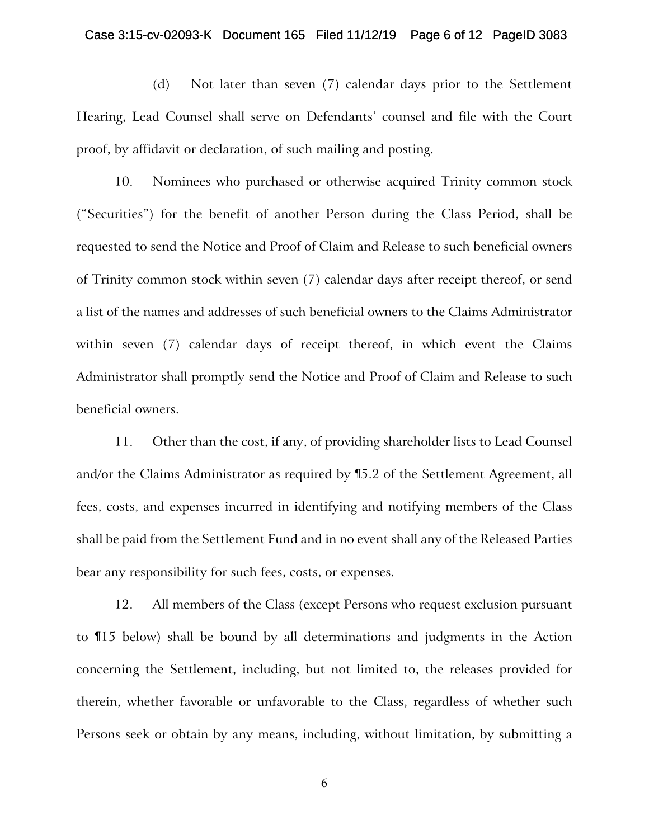#### Case 3:15-cv-02093-K Document 165 Filed 11/12/19 Page 6 of 12 PageID 3083

(d) Not later than seven (7) calendar days prior to the Settlement Hearing, Lead Counsel shall serve on Defendants' counsel and file with the Court proof, by affidavit or declaration, of such mailing and posting.

10. Nominees who purchased or otherwise acquired Trinity common stock ("Securities") for the benefit of another Person during the Class Period, shall be requested to send the Notice and Proof of Claim and Release to such beneficial owners of Trinity common stock within seven (7) calendar days after receipt thereof, or send a list of the names and addresses of such beneficial owners to the Claims Administrator within seven (7) calendar days of receipt thereof, in which event the Claims Administrator shall promptly send the Notice and Proof of Claim and Release to such beneficial owners.

11. Other than the cost, if any, of providing shareholder lists to Lead Counsel and/or the Claims Administrator as required by ¶5.2 of the Settlement Agreement, all fees, costs, and expenses incurred in identifying and notifying members of the Class shall be paid from the Settlement Fund and in no event shall any of the Released Parties bear any responsibility for such fees, costs, or expenses.

12. All members of the Class (except Persons who request exclusion pursuant to ¶15 below) shall be bound by all determinations and judgments in the Action concerning the Settlement, including, but not limited to, the releases provided for therein, whether favorable or unfavorable to the Class, regardless of whether such Persons seek or obtain by any means, including, without limitation, by submitting a

6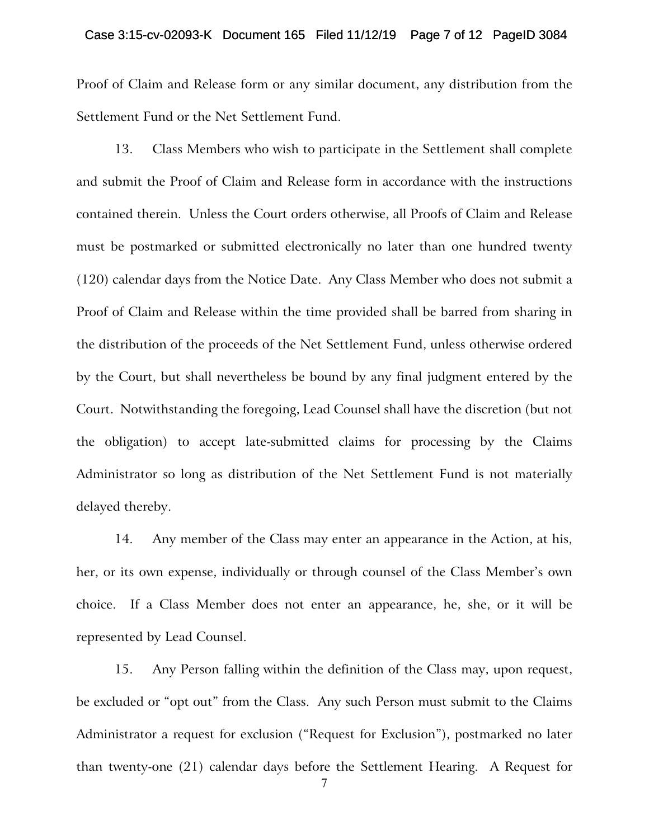#### Case 3:15-cv-02093-K Document 165 Filed 11/12/19 Page 7 of 12 PageID 3084

Proof of Claim and Release form or any similar document, any distribution from the Settlement Fund or the Net Settlement Fund.

13. Class Members who wish to participate in the Settlement shall complete and submit the Proof of Claim and Release form in accordance with the instructions contained therein. Unless the Court orders otherwise, all Proofs of Claim and Release must be postmarked or submitted electronically no later than one hundred twenty (120) calendar days from the Notice Date. Any Class Member who does not submit a Proof of Claim and Release within the time provided shall be barred from sharing in the distribution of the proceeds of the Net Settlement Fund, unless otherwise ordered by the Court, but shall nevertheless be bound by any final judgment entered by the Court. Notwithstanding the foregoing, Lead Counsel shall have the discretion (but not the obligation) to accept late-submitted claims for processing by the Claims Administrator so long as distribution of the Net Settlement Fund is not materially delayed thereby.

14. Any member of the Class may enter an appearance in the Action, at his, her, or its own expense, individually or through counsel of the Class Member's own choice. If a Class Member does not enter an appearance, he, she, or it will be represented by Lead Counsel.

15. Any Person falling within the definition of the Class may, upon request, be excluded or "opt out" from the Class. Any such Person must submit to the Claims Administrator a request for exclusion ("Request for Exclusion"), postmarked no later than twenty-one (21) calendar days before the Settlement Hearing. A Request for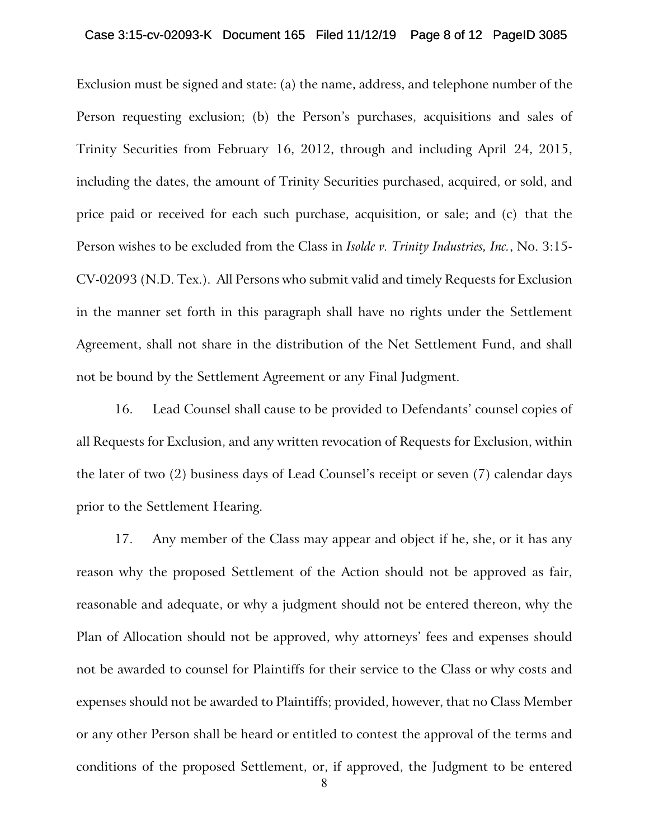#### Case 3:15-cv-02093-K Document 165 Filed 11/12/19 Page 8 of 12 PageID 3085

Exclusion must be signed and state: (a) the name, address, and telephone number of the Person requesting exclusion; (b) the Person's purchases, acquisitions and sales of Trinity Securities from February 16, 2012, through and including April 24, 2015, including the dates, the amount of Trinity Securities purchased, acquired, or sold, and price paid or received for each such purchase, acquisition, or sale; and (c) that the Person wishes to be excluded from the Class in *Isolde v. Trinity Industries, Inc.*, No. 3:15- CV-02093 (N.D. Tex.). All Persons who submit valid and timely Requests for Exclusion in the manner set forth in this paragraph shall have no rights under the Settlement Agreement, shall not share in the distribution of the Net Settlement Fund, and shall not be bound by the Settlement Agreement or any Final Judgment.

16. Lead Counsel shall cause to be provided to Defendants' counsel copies of all Requests for Exclusion, and any written revocation of Requests for Exclusion, within the later of two (2) business days of Lead Counsel's receipt or seven (7) calendar days prior to the Settlement Hearing.

17. Any member of the Class may appear and object if he, she, or it has any reason why the proposed Settlement of the Action should not be approved as fair, reasonable and adequate, or why a judgment should not be entered thereon, why the Plan of Allocation should not be approved, why attorneys' fees and expenses should not be awarded to counsel for Plaintiffs for their service to the Class or why costs and expenses should not be awarded to Plaintiffs; provided, however, that no Class Member or any other Person shall be heard or entitled to contest the approval of the terms and conditions of the proposed Settlement, or, if approved, the Judgment to be entered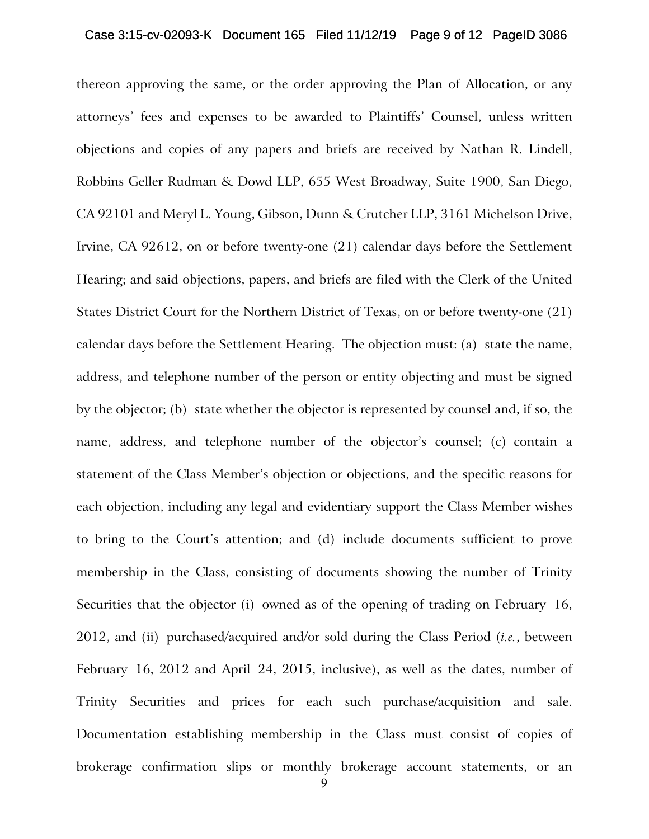#### Case 3:15-cv-02093-K Document 165 Filed 11/12/19 Page 9 of 12 PageID 3086

thereon approving the same, or the order approving the Plan of Allocation, or any attorneys' fees and expenses to be awarded to Plaintiffs' Counsel, unless written objections and copies of any papers and briefs are received by Nathan R. Lindell, Robbins Geller Rudman & Dowd LLP, 655 West Broadway, Suite 1900, San Diego, CA 92101 and Meryl L. Young, Gibson, Dunn & Crutcher LLP, 3161 Michelson Drive, Irvine, CA 92612, on or before twenty-one (21) calendar days before the Settlement Hearing; and said objections, papers, and briefs are filed with the Clerk of the United States District Court for the Northern District of Texas, on or before twenty-one (21) calendar days before the Settlement Hearing. The objection must: (a) state the name, address, and telephone number of the person or entity objecting and must be signed by the objector; (b) state whether the objector is represented by counsel and, if so, the name, address, and telephone number of the objector's counsel; (c) contain a statement of the Class Member's objection or objections, and the specific reasons for each objection, including any legal and evidentiary support the Class Member wishes to bring to the Court's attention; and (d) include documents sufficient to prove membership in the Class, consisting of documents showing the number of Trinity Securities that the objector (i) owned as of the opening of trading on February 16, 2012, and (ii) purchased/acquired and/or sold during the Class Period (*i.e.*, between February 16, 2012 and April 24, 2015, inclusive), as well as the dates, number of Trinity Securities and prices for each such purchase/acquisition and sale. Documentation establishing membership in the Class must consist of copies of brokerage confirmation slips or monthly brokerage account statements, or an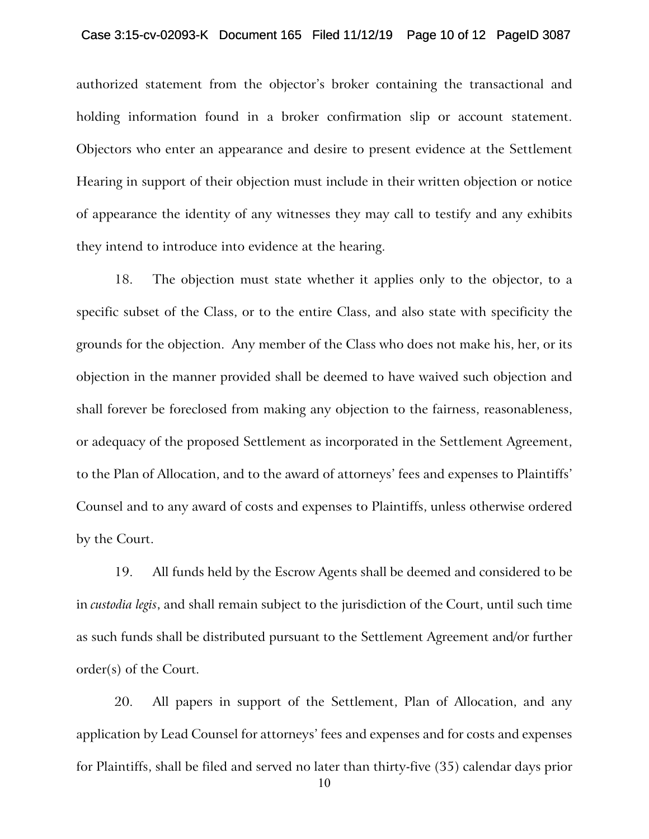#### Case 3:15-cv-02093-K Document 165 Filed 11/12/19 Page 10 of 12 PageID 3087

authorized statement from the objector's broker containing the transactional and holding information found in a broker confirmation slip or account statement. Objectors who enter an appearance and desire to present evidence at the Settlement Hearing in support of their objection must include in their written objection or notice of appearance the identity of any witnesses they may call to testify and any exhibits they intend to introduce into evidence at the hearing.

18. The objection must state whether it applies only to the objector, to a specific subset of the Class, or to the entire Class, and also state with specificity the grounds for the objection. Any member of the Class who does not make his, her, or its objection in the manner provided shall be deemed to have waived such objection and shall forever be foreclosed from making any objection to the fairness, reasonableness, or adequacy of the proposed Settlement as incorporated in the Settlement Agreement, to the Plan of Allocation, and to the award of attorneys' fees and expenses to Plaintiffs' Counsel and to any award of costs and expenses to Plaintiffs, unless otherwise ordered by the Court.

19. All funds held by the Escrow Agents shall be deemed and considered to be in *custodia legis*, and shall remain subject to the jurisdiction of the Court, until such time as such funds shall be distributed pursuant to the Settlement Agreement and/or further order(s) of the Court.

20. All papers in support of the Settlement, Plan of Allocation, and any application by Lead Counsel for attorneys' fees and expenses and for costs and expenses for Plaintiffs, shall be filed and served no later than thirty-five (35) calendar days prior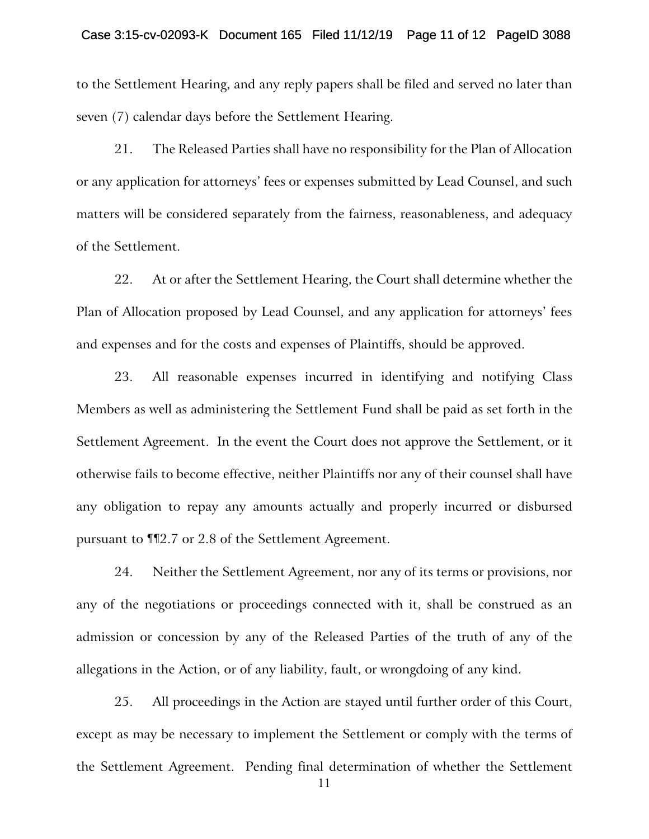#### Case 3:15-cv-02093-K Document 165 Filed 11/12/19 Page 11 of 12 PageID 3088

to the Settlement Hearing, and any reply papers shall be filed and served no later than seven (7) calendar days before the Settlement Hearing.

21. The Released Parties shall have no responsibility for the Plan of Allocation or any application for attorneys' fees or expenses submitted by Lead Counsel, and such matters will be considered separately from the fairness, reasonableness, and adequacy of the Settlement.

22. At or after the Settlement Hearing, the Court shall determine whether the Plan of Allocation proposed by Lead Counsel, and any application for attorneys' fees and expenses and for the costs and expenses of Plaintiffs, should be approved.

23. All reasonable expenses incurred in identifying and notifying Class Members as well as administering the Settlement Fund shall be paid as set forth in the Settlement Agreement. In the event the Court does not approve the Settlement, or it otherwise fails to become effective, neither Plaintiffs nor any of their counsel shall have any obligation to repay any amounts actually and properly incurred or disbursed pursuant to ¶¶2.7 or 2.8 of the Settlement Agreement.

24. Neither the Settlement Agreement, nor any of its terms or provisions, nor any of the negotiations or proceedings connected with it, shall be construed as an admission or concession by any of the Released Parties of the truth of any of the allegations in the Action, or of any liability, fault, or wrongdoing of any kind.

25. All proceedings in the Action are stayed until further order of this Court, except as may be necessary to implement the Settlement or comply with the terms of the Settlement Agreement. Pending final determination of whether the Settlement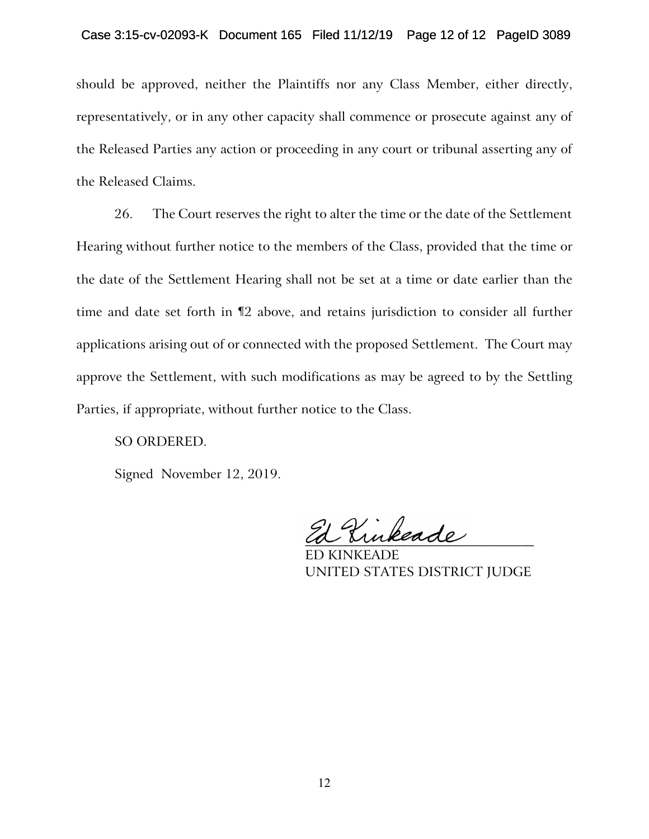### Case 3:15-cv-02093-K Document 165 Filed 11/12/19 Page 12 of 12 PageID 3089

should be approved, neither the Plaintiffs nor any Class Member, either directly, representatively, or in any other capacity shall commence or prosecute against any of the Released Parties any action or proceeding in any court or tribunal asserting any of the Released Claims.

26. The Court reserves the right to alter the time or the date of the Settlement Hearing without further notice to the members of the Class, provided that the time or the date of the Settlement Hearing shall not be set at a time or date earlier than the time and date set forth in ¶2 above, and retains jurisdiction to consider all further applications arising out of or connected with the proposed Settlement. The Court may approve the Settlement, with such modifications as may be agreed to by the Settling Parties, if appropriate, without further notice to the Class.

### SO ORDERED.

Signed November 12, 2019.

 $\mathcal{H}$  Kinkeade

ED KINKEADE UNITED STATES DISTRICT JUDGE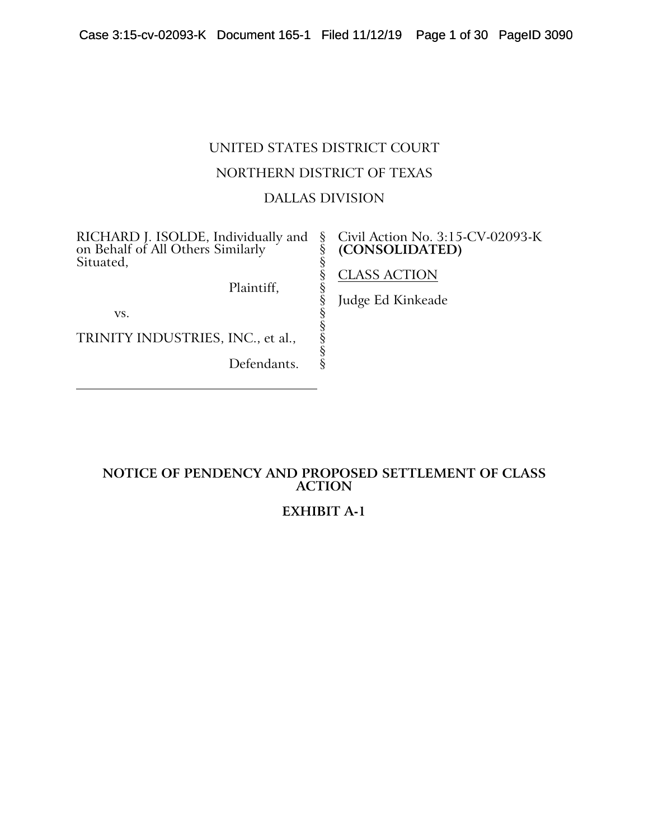# UNITED STATES DISTRICT COURT NORTHERN DISTRICT OF TEXAS DALLAS DIVISION

§ § § § § § § § § § §

RICHARD J. ISOLDE, Individually and on Behalf of All Others Similarly Situated,

Plaintiff,

vs.

TRINITY INDUSTRIES, INC., et al.,

Defendants.

### Civil Action No. 3:15-CV-02093-K **(CONSOLIDATED)**

# CLASS ACTION

Judge Ed Kinkeade

# **NOTICE OF PENDENCY AND PROPOSED SETTLEMENT OF CLASS ACTION**

# **EXHIBIT A-1**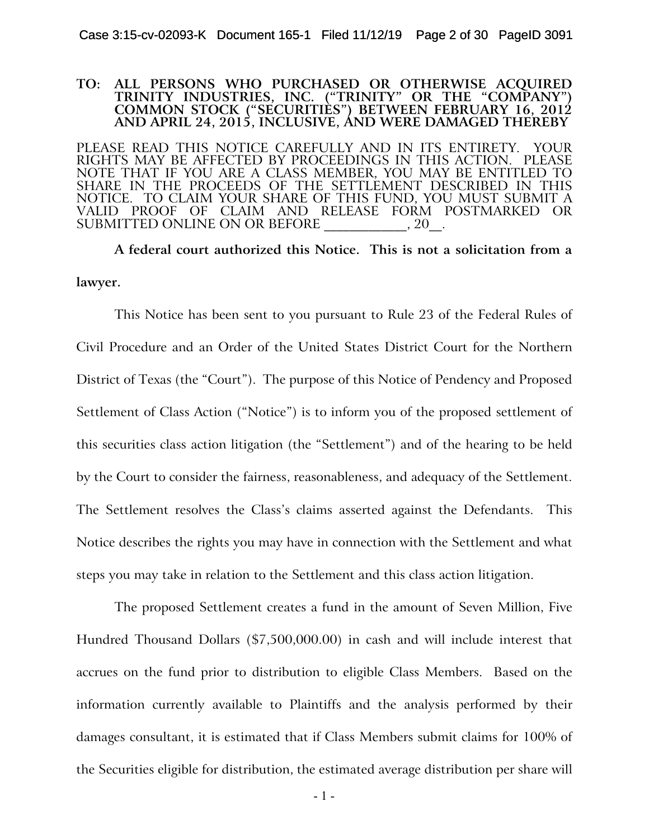#### **TO: ALL PERSONS WHO PURCHASED OR OTHERWISE ACQUIRED TRINITY INDUSTRIES, INC. ("TRINITY" OR THE "COMPANY") COMMON STOCK ("SECURITIES") BETWEEN FEBRUARY 16, 2012 AND APRIL 24, 2015, INCLUSIVE, AND WERE DAMAGED THEREBY**

PLEASE READ THIS NOTICE CAREFULLY AND IN ITS ENTIRETY. YOUR RIGHTS MAY BE AFFECTED BY PROCEEDINGS IN THIS ACTION. PLEASE NOTE THAT IF YOU ARE A CLASS MEMBER, YOU MAY BE ENTITLED TO SHARE IN THE PROCEEDS OF THE SETTLEMENT DESCRIBED IN THIS NOTICE. TO CLAIM YOUR SHARE OF THIS FUND, YOU MUST SUBMIT A VALID PROOF OF CLAIM AND RELEASE FORM POSTMARKED OR SUBMITTED ONLINE ON OR BEFORE  $\qquad \qquad , 20$ .

**A federal court authorized this Notice. This is not a solicitation from a lawyer.**

This Notice has been sent to you pursuant to Rule 23 of the Federal Rules of Civil Procedure and an Order of the United States District Court for the Northern District of Texas (the "Court"). The purpose of this Notice of Pendency and Proposed Settlement of Class Action ("Notice") is to inform you of the proposed settlement of this securities class action litigation (the "Settlement") and of the hearing to be held by the Court to consider the fairness, reasonableness, and adequacy of the Settlement. The Settlement resolves the Class's claims asserted against the Defendants. This Notice describes the rights you may have in connection with the Settlement and what steps you may take in relation to the Settlement and this class action litigation.

The proposed Settlement creates a fund in the amount of Seven Million, Five Hundred Thousand Dollars (\$7,500,000.00) in cash and will include interest that accrues on the fund prior to distribution to eligible Class Members. Based on the information currently available to Plaintiffs and the analysis performed by their damages consultant, it is estimated that if Class Members submit claims for 100% of the Securities eligible for distribution, the estimated average distribution per share will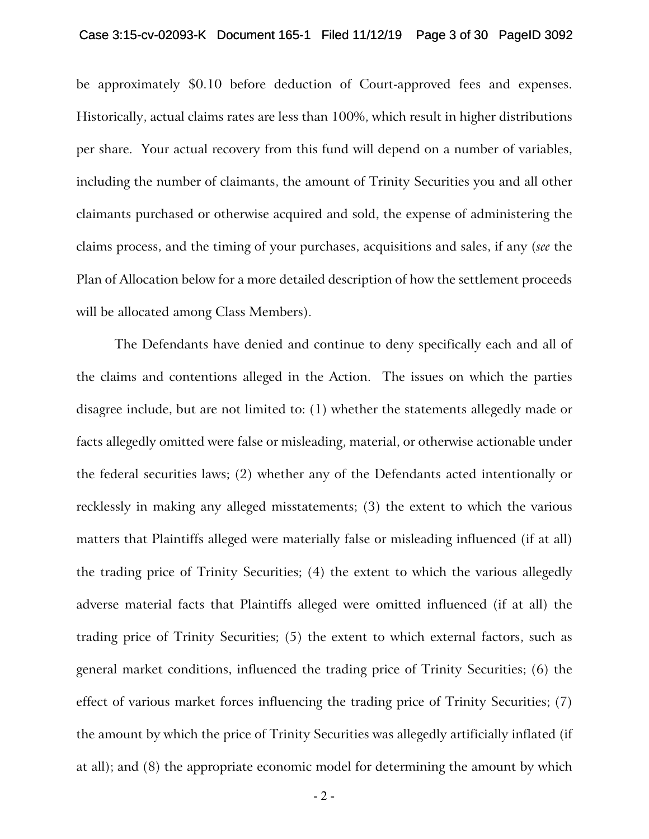be approximately \$0.10 before deduction of Court-approved fees and expenses. Historically, actual claims rates are less than 100%, which result in higher distributions per share. Your actual recovery from this fund will depend on a number of variables, including the number of claimants, the amount of Trinity Securities you and all other claimants purchased or otherwise acquired and sold, the expense of administering the claims process, and the timing of your purchases, acquisitions and sales, if any (*see* the Plan of Allocation below for a more detailed description of how the settlement proceeds will be allocated among Class Members).

The Defendants have denied and continue to deny specifically each and all of the claims and contentions alleged in the Action. The issues on which the parties disagree include, but are not limited to: (1) whether the statements allegedly made or facts allegedly omitted were false or misleading, material, or otherwise actionable under the federal securities laws; (2) whether any of the Defendants acted intentionally or recklessly in making any alleged misstatements; (3) the extent to which the various matters that Plaintiffs alleged were materially false or misleading influenced (if at all) the trading price of Trinity Securities; (4) the extent to which the various allegedly adverse material facts that Plaintiffs alleged were omitted influenced (if at all) the trading price of Trinity Securities; (5) the extent to which external factors, such as general market conditions, influenced the trading price of Trinity Securities; (6) the effect of various market forces influencing the trading price of Trinity Securities; (7) the amount by which the price of Trinity Securities was allegedly artificially inflated (if at all); and (8) the appropriate economic model for determining the amount by which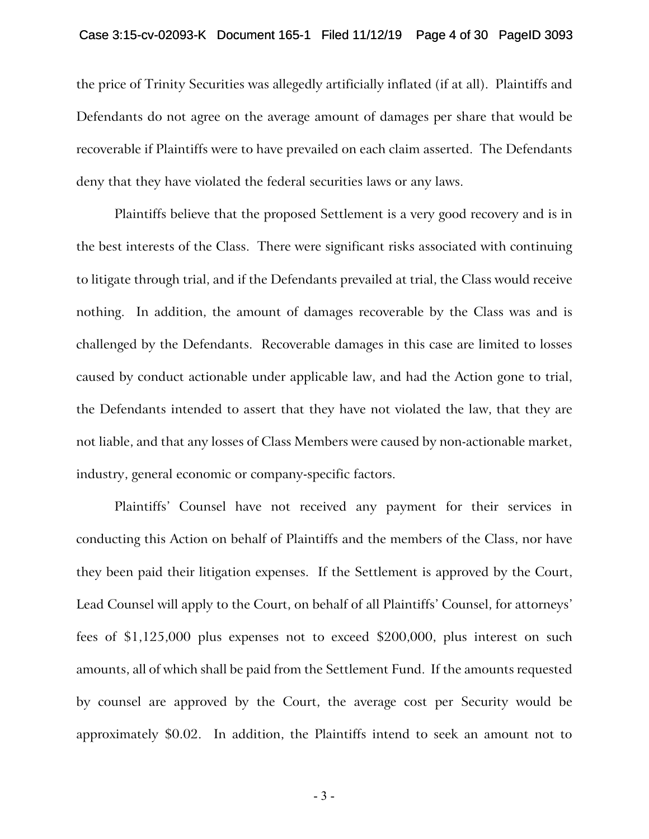#### Case 3:15-cv-02093-K Document 165-1 Filed 11/12/19 Page 4 of 30 PageID 3093

the price of Trinity Securities was allegedly artificially inflated (if at all). Plaintiffs and Defendants do not agree on the average amount of damages per share that would be recoverable if Plaintiffs were to have prevailed on each claim asserted. The Defendants deny that they have violated the federal securities laws or any laws.

Plaintiffs believe that the proposed Settlement is a very good recovery and is in the best interests of the Class. There were significant risks associated with continuing to litigate through trial, and if the Defendants prevailed at trial, the Class would receive nothing. In addition, the amount of damages recoverable by the Class was and is challenged by the Defendants. Recoverable damages in this case are limited to losses caused by conduct actionable under applicable law, and had the Action gone to trial, the Defendants intended to assert that they have not violated the law, that they are not liable, and that any losses of Class Members were caused by non-actionable market, industry, general economic or company-specific factors.

Plaintiffs' Counsel have not received any payment for their services in conducting this Action on behalf of Plaintiffs and the members of the Class, nor have they been paid their litigation expenses. If the Settlement is approved by the Court, Lead Counsel will apply to the Court, on behalf of all Plaintiffs' Counsel, for attorneys' fees of \$1,125,000 plus expenses not to exceed \$200,000, plus interest on such amounts, all of which shall be paid from the Settlement Fund. If the amounts requested by counsel are approved by the Court, the average cost per Security would be approximately \$0.02. In addition, the Plaintiffs intend to seek an amount not to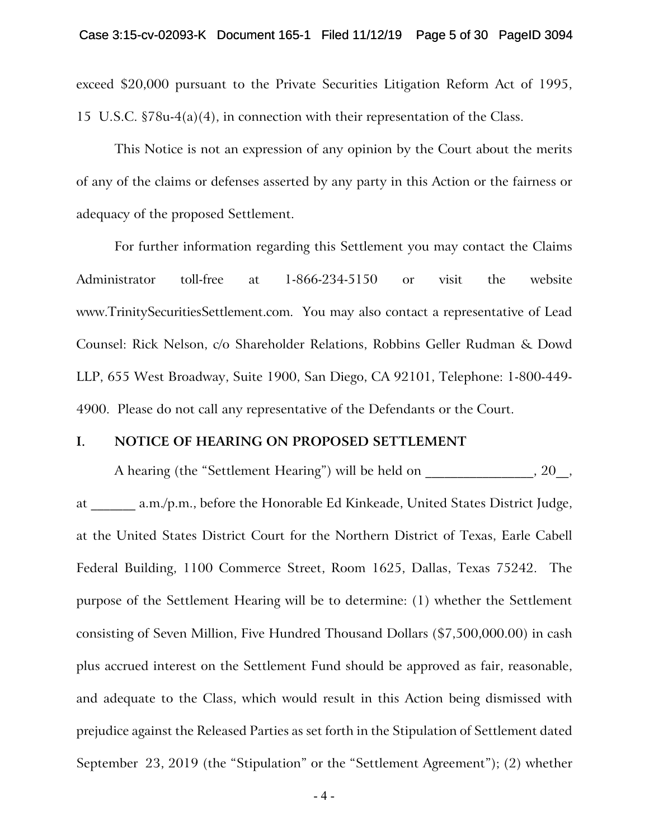exceed \$20,000 pursuant to the Private Securities Litigation Reform Act of 1995, 15 U.S.C. §78u-4(a)(4), in connection with their representation of the Class.

This Notice is not an expression of any opinion by the Court about the merits of any of the claims or defenses asserted by any party in this Action or the fairness or adequacy of the proposed Settlement.

For further information regarding this Settlement you may contact the Claims Administrator toll-free at 1-866-234-5150 or visit the website www.TrinitySecuritiesSettlement.com. You may also contact a representative of Lead Counsel: Rick Nelson, c/o Shareholder Relations, Robbins Geller Rudman & Dowd LLP, 655 West Broadway, Suite 1900, San Diego, CA 92101, Telephone: 1-800-449- 4900. Please do not call any representative of the Defendants or the Court.

#### **I. NOTICE OF HEARING ON PROPOSED SETTLEMENT**

A hearing (the "Settlement Hearing") will be held on \_\_\_\_\_\_\_\_\_\_\_\_\_\_\_, 20\_, at \_\_\_\_\_\_\_ a.m./p.m., before the Honorable Ed Kinkeade, United States District Judge, at the United States District Court for the Northern District of Texas, Earle Cabell Federal Building, 1100 Commerce Street, Room 1625, Dallas, Texas 75242. The purpose of the Settlement Hearing will be to determine: (1) whether the Settlement consisting of Seven Million, Five Hundred Thousand Dollars (\$7,500,000.00) in cash plus accrued interest on the Settlement Fund should be approved as fair, reasonable, and adequate to the Class, which would result in this Action being dismissed with prejudice against the Released Parties as set forth in the Stipulation of Settlement dated September 23, 2019 (the "Stipulation" or the "Settlement Agreement"); (2) whether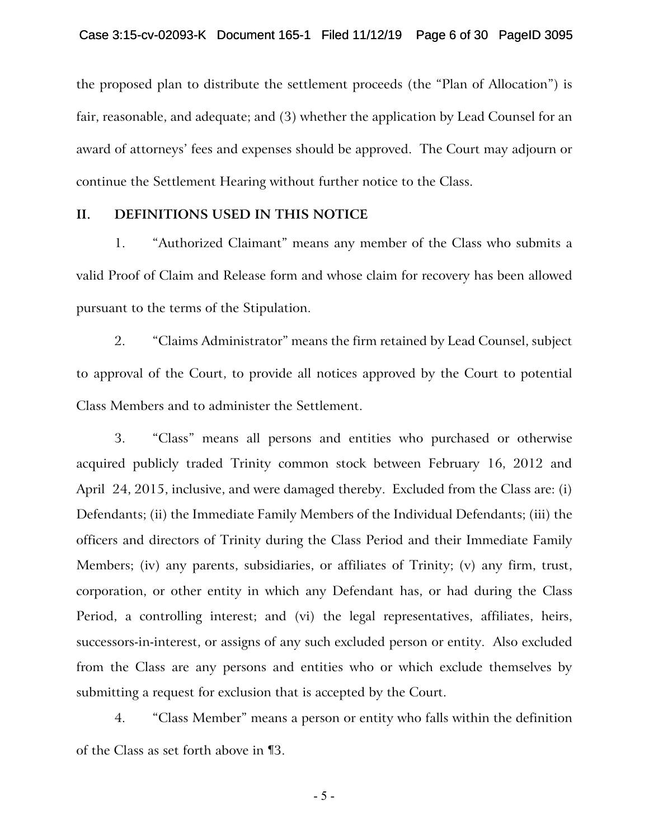the proposed plan to distribute the settlement proceeds (the "Plan of Allocation") is fair, reasonable, and adequate; and (3) whether the application by Lead Counsel for an award of attorneys' fees and expenses should be approved. The Court may adjourn or continue the Settlement Hearing without further notice to the Class.

### **II. DEFINITIONS USED IN THIS NOTICE**

1. "Authorized Claimant" means any member of the Class who submits a valid Proof of Claim and Release form and whose claim for recovery has been allowed pursuant to the terms of the Stipulation.

2. "Claims Administrator" means the firm retained by Lead Counsel, subject to approval of the Court, to provide all notices approved by the Court to potential Class Members and to administer the Settlement.

3. "Class" means all persons and entities who purchased or otherwise acquired publicly traded Trinity common stock between February 16, 2012 and April 24, 2015, inclusive, and were damaged thereby. Excluded from the Class are: (i) Defendants; (ii) the Immediate Family Members of the Individual Defendants; (iii) the officers and directors of Trinity during the Class Period and their Immediate Family Members; (iv) any parents, subsidiaries, or affiliates of Trinity; (v) any firm, trust, corporation, or other entity in which any Defendant has, or had during the Class Period, a controlling interest; and (vi) the legal representatives, affiliates, heirs, successors-in-interest, or assigns of any such excluded person or entity. Also excluded from the Class are any persons and entities who or which exclude themselves by submitting a request for exclusion that is accepted by the Court.

4. "Class Member" means a person or entity who falls within the definition of the Class as set forth above in ¶3.

- 5 -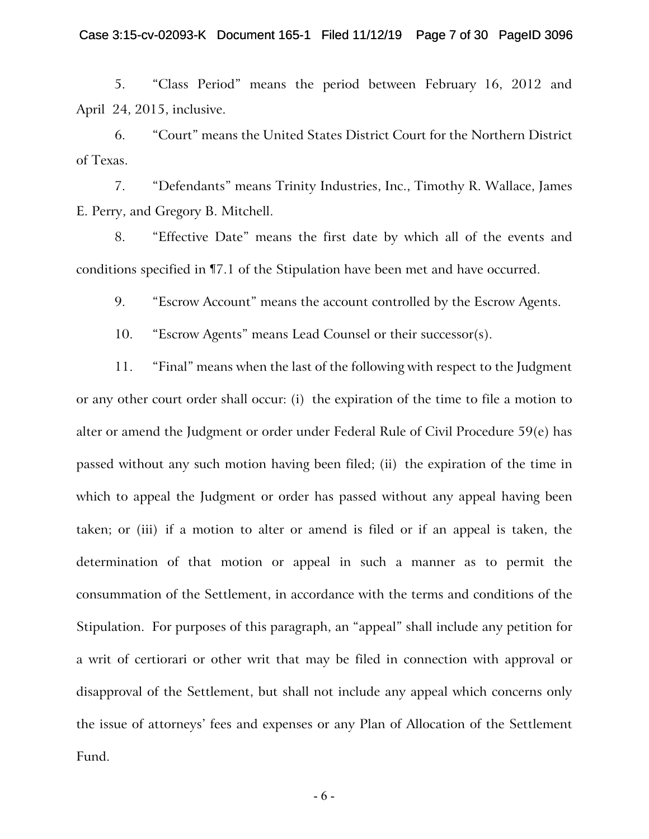5. "Class Period" means the period between February 16, 2012 and April 24, 2015, inclusive.

6. "Court" means the United States District Court for the Northern District of Texas.

7. "Defendants" means Trinity Industries, Inc., Timothy R. Wallace, James E. Perry, and Gregory B. Mitchell.

8. "Effective Date" means the first date by which all of the events and conditions specified in ¶7.1 of the Stipulation have been met and have occurred.

9. "Escrow Account" means the account controlled by the Escrow Agents.

10. "Escrow Agents" means Lead Counsel or their successor(s).

11. "Final" means when the last of the following with respect to the Judgment or any other court order shall occur: (i) the expiration of the time to file a motion to alter or amend the Judgment or order under Federal Rule of Civil Procedure 59(e) has passed without any such motion having been filed; (ii) the expiration of the time in which to appeal the Judgment or order has passed without any appeal having been taken; or (iii) if a motion to alter or amend is filed or if an appeal is taken, the determination of that motion or appeal in such a manner as to permit the consummation of the Settlement, in accordance with the terms and conditions of the Stipulation. For purposes of this paragraph, an "appeal" shall include any petition for a writ of certiorari or other writ that may be filed in connection with approval or disapproval of the Settlement, but shall not include any appeal which concerns only the issue of attorneys' fees and expenses or any Plan of Allocation of the Settlement Fund.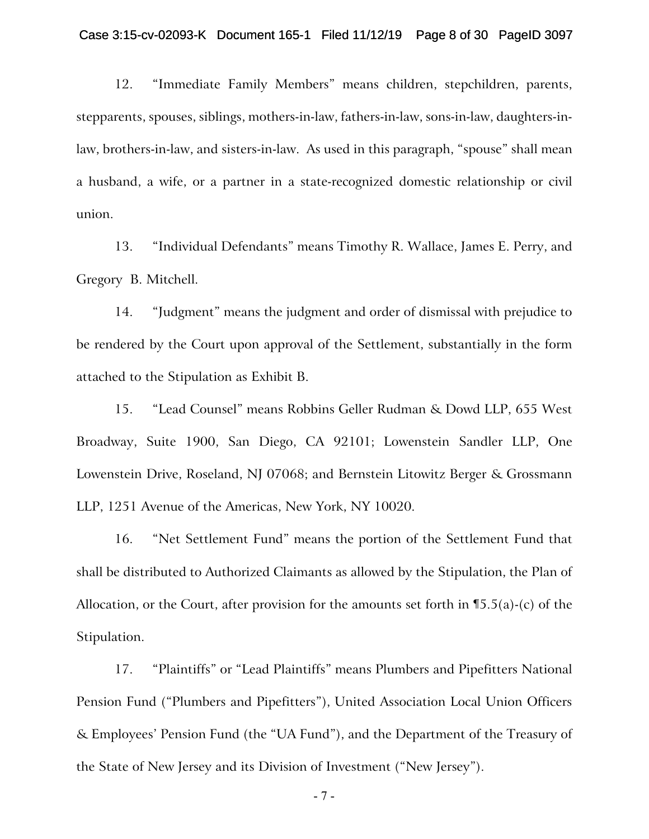#### Case 3:15-cv-02093-K Document 165-1 Filed 11/12/19 Page 8 of 30 PageID 3097

12. "Immediate Family Members" means children, stepchildren, parents, stepparents, spouses, siblings, mothers-in-law, fathers-in-law, sons-in-law, daughters-inlaw, brothers-in-law, and sisters-in-law. As used in this paragraph, "spouse" shall mean a husband, a wife, or a partner in a state-recognized domestic relationship or civil union.

13. "Individual Defendants" means Timothy R. Wallace, James E. Perry, and Gregory B. Mitchell.

14. "Judgment" means the judgment and order of dismissal with prejudice to be rendered by the Court upon approval of the Settlement, substantially in the form attached to the Stipulation as Exhibit B.

15. "Lead Counsel" means Robbins Geller Rudman & Dowd LLP, 655 West Broadway, Suite 1900, San Diego, CA 92101; Lowenstein Sandler LLP, One Lowenstein Drive, Roseland, NJ 07068; and Bernstein Litowitz Berger & Grossmann LLP, 1251 Avenue of the Americas, New York, NY 10020.

16. "Net Settlement Fund" means the portion of the Settlement Fund that shall be distributed to Authorized Claimants as allowed by the Stipulation, the Plan of Allocation, or the Court, after provision for the amounts set forth in  $\P$ 5.5(a)-(c) of the Stipulation.

17. "Plaintiffs" or "Lead Plaintiffs" means Plumbers and Pipefitters National Pension Fund ("Plumbers and Pipefitters"), United Association Local Union Officers & Employees' Pension Fund (the "UA Fund"), and the Department of the Treasury of the State of New Jersey and its Division of Investment ("New Jersey").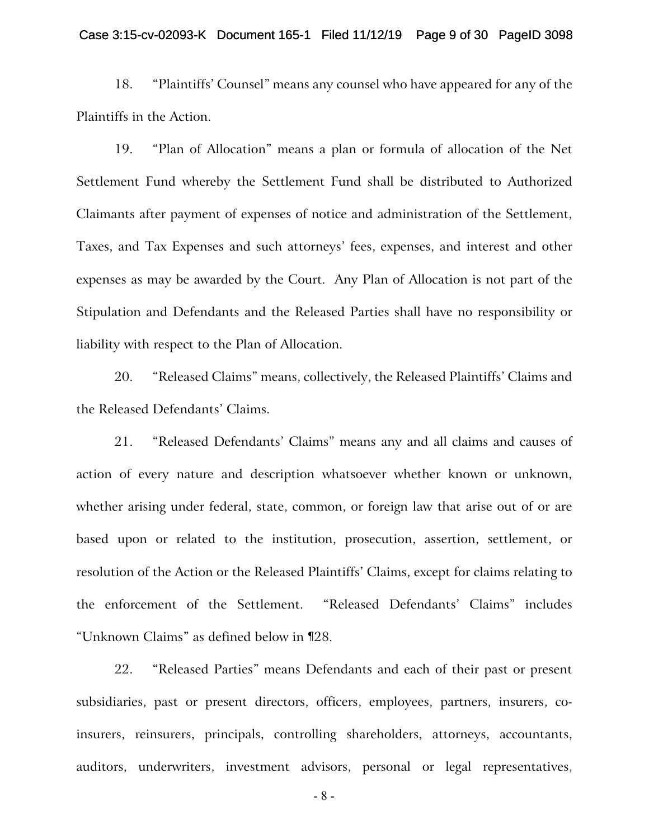#### Case 3:15-cv-02093-K Document 165-1 Filed 11/12/19 Page 9 of 30 PageID 3098

18. "Plaintiffs' Counsel" means any counsel who have appeared for any of the Plaintiffs in the Action.

19. "Plan of Allocation" means a plan or formula of allocation of the Net Settlement Fund whereby the Settlement Fund shall be distributed to Authorized Claimants after payment of expenses of notice and administration of the Settlement, Taxes, and Tax Expenses and such attorneys' fees, expenses, and interest and other expenses as may be awarded by the Court. Any Plan of Allocation is not part of the Stipulation and Defendants and the Released Parties shall have no responsibility or liability with respect to the Plan of Allocation.

20. "Released Claims" means, collectively, the Released Plaintiffs' Claims and the Released Defendants' Claims.

21. "Released Defendants' Claims" means any and all claims and causes of action of every nature and description whatsoever whether known or unknown, whether arising under federal, state, common, or foreign law that arise out of or are based upon or related to the institution, prosecution, assertion, settlement, or resolution of the Action or the Released Plaintiffs' Claims, except for claims relating to the enforcement of the Settlement. "Released Defendants' Claims" includes "Unknown Claims" as defined below in ¶28.

22. "Released Parties" means Defendants and each of their past or present subsidiaries, past or present directors, officers, employees, partners, insurers, coinsurers, reinsurers, principals, controlling shareholders, attorneys, accountants, auditors, underwriters, investment advisors, personal or legal representatives,

- 8 -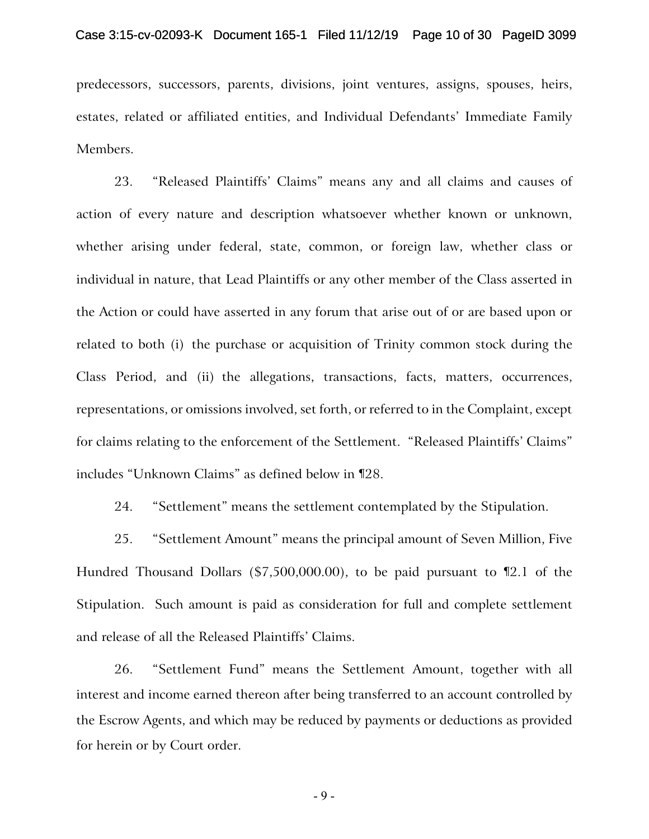predecessors, successors, parents, divisions, joint ventures, assigns, spouses, heirs, estates, related or affiliated entities, and Individual Defendants' Immediate Family Members.

23. "Released Plaintiffs' Claims" means any and all claims and causes of action of every nature and description whatsoever whether known or unknown, whether arising under federal, state, common, or foreign law, whether class or individual in nature, that Lead Plaintiffs or any other member of the Class asserted in the Action or could have asserted in any forum that arise out of or are based upon or related to both (i) the purchase or acquisition of Trinity common stock during the Class Period, and (ii) the allegations, transactions, facts, matters, occurrences, representations, or omissions involved, set forth, or referred to in the Complaint, except for claims relating to the enforcement of the Settlement. "Released Plaintiffs' Claims" includes "Unknown Claims" as defined below in ¶28.

24. "Settlement" means the settlement contemplated by the Stipulation.

25. "Settlement Amount" means the principal amount of Seven Million, Five Hundred Thousand Dollars (\$7,500,000.00), to be paid pursuant to ¶2.1 of the Stipulation. Such amount is paid as consideration for full and complete settlement and release of all the Released Plaintiffs' Claims.

26. "Settlement Fund" means the Settlement Amount, together with all interest and income earned thereon after being transferred to an account controlled by the Escrow Agents, and which may be reduced by payments or deductions as provided for herein or by Court order.

- 9 -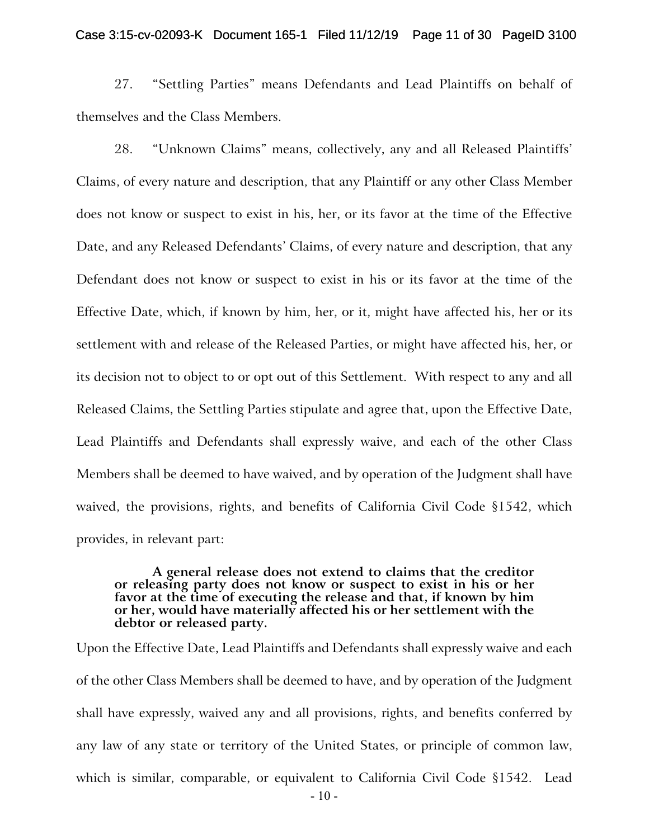#### Case 3:15-cv-02093-K Document 165-1 Filed 11/12/19 Page 11 of 30 PageID 3100

27. "Settling Parties" means Defendants and Lead Plaintiffs on behalf of themselves and the Class Members.

28. "Unknown Claims" means, collectively, any and all Released Plaintiffs' Claims, of every nature and description, that any Plaintiff or any other Class Member does not know or suspect to exist in his, her, or its favor at the time of the Effective Date, and any Released Defendants' Claims, of every nature and description, that any Defendant does not know or suspect to exist in his or its favor at the time of the Effective Date, which, if known by him, her, or it, might have affected his, her or its settlement with and release of the Released Parties, or might have affected his, her, or its decision not to object to or opt out of this Settlement. With respect to any and all Released Claims, the Settling Parties stipulate and agree that, upon the Effective Date, Lead Plaintiffs and Defendants shall expressly waive, and each of the other Class Members shall be deemed to have waived, and by operation of the Judgment shall have waived, the provisions, rights, and benefits of California Civil Code §1542, which provides, in relevant part:

#### **A general release does not extend to claims that the creditor or releasing party does not know or suspect to exist in his or her favor at the time of executing the release and that, if known by him or her, would have materially affected his or her settlement with the debtor or released party.**

Upon the Effective Date, Lead Plaintiffs and Defendants shall expressly waive and each of the other Class Members shall be deemed to have, and by operation of the Judgment shall have expressly, waived any and all provisions, rights, and benefits conferred by any law of any state or territory of the United States, or principle of common law, which is similar, comparable, or equivalent to California Civil Code §1542. Lead

 $-10-$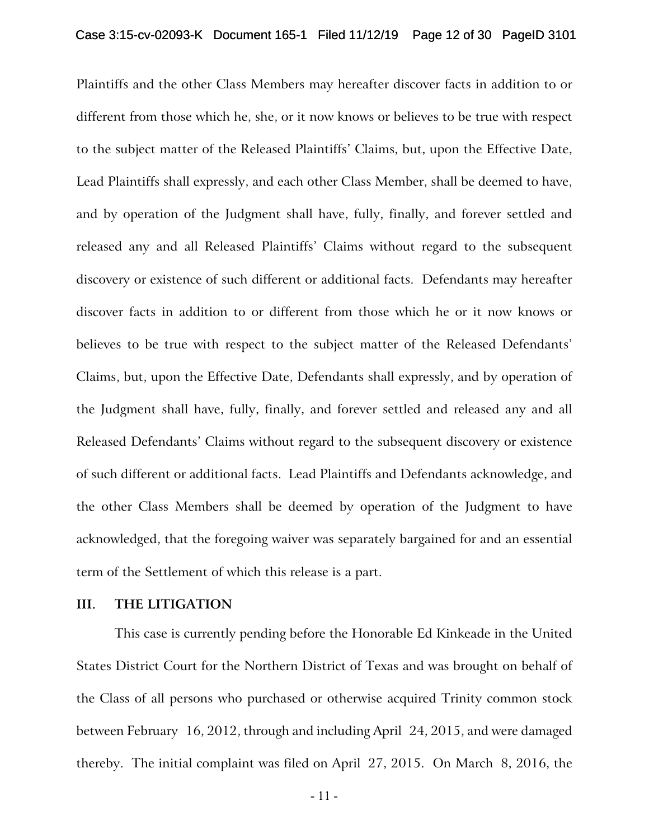Plaintiffs and the other Class Members may hereafter discover facts in addition to or different from those which he, she, or it now knows or believes to be true with respect to the subject matter of the Released Plaintiffs' Claims, but, upon the Effective Date, Lead Plaintiffs shall expressly, and each other Class Member, shall be deemed to have, and by operation of the Judgment shall have, fully, finally, and forever settled and released any and all Released Plaintiffs' Claims without regard to the subsequent discovery or existence of such different or additional facts. Defendants may hereafter discover facts in addition to or different from those which he or it now knows or believes to be true with respect to the subject matter of the Released Defendants' Claims, but, upon the Effective Date, Defendants shall expressly, and by operation of the Judgment shall have, fully, finally, and forever settled and released any and all Released Defendants' Claims without regard to the subsequent discovery or existence of such different or additional facts. Lead Plaintiffs and Defendants acknowledge, and the other Class Members shall be deemed by operation of the Judgment to have acknowledged, that the foregoing waiver was separately bargained for and an essential term of the Settlement of which this release is a part.

#### **III. THE LITIGATION**

This case is currently pending before the Honorable Ed Kinkeade in the United States District Court for the Northern District of Texas and was brought on behalf of the Class of all persons who purchased or otherwise acquired Trinity common stock between February 16, 2012, through and including April 24, 2015, and were damaged thereby. The initial complaint was filed on April 27, 2015. On March 8, 2016, the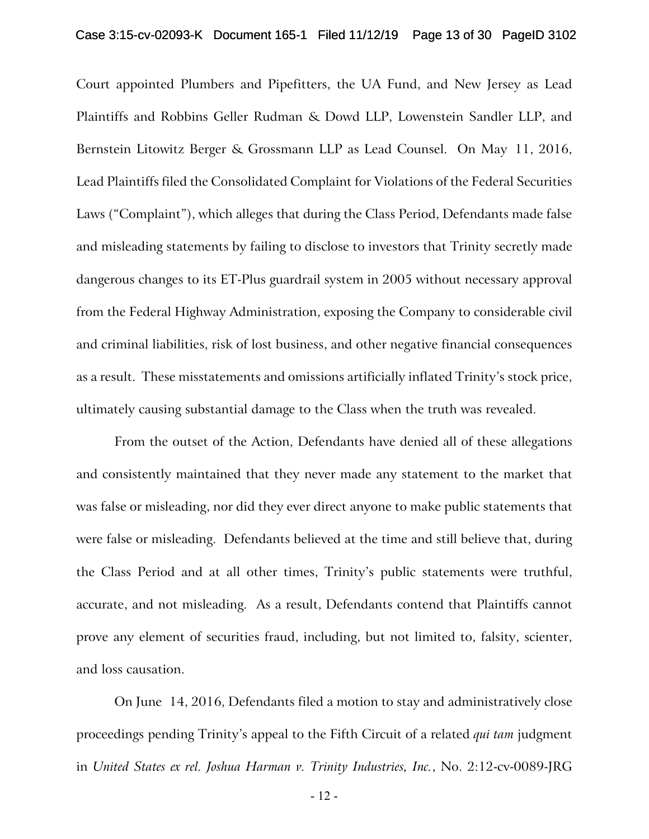Court appointed Plumbers and Pipefitters, the UA Fund, and New Jersey as Lead Plaintiffs and Robbins Geller Rudman & Dowd LLP, Lowenstein Sandler LLP, and Bernstein Litowitz Berger & Grossmann LLP as Lead Counsel. On May 11, 2016, Lead Plaintiffs filed the Consolidated Complaint for Violations of the Federal Securities Laws ("Complaint"), which alleges that during the Class Period, Defendants made false and misleading statements by failing to disclose to investors that Trinity secretly made dangerous changes to its ET-Plus guardrail system in 2005 without necessary approval from the Federal Highway Administration, exposing the Company to considerable civil and criminal liabilities, risk of lost business, and other negative financial consequences as a result. These misstatements and omissions artificially inflated Trinity's stock price, ultimately causing substantial damage to the Class when the truth was revealed.

From the outset of the Action, Defendants have denied all of these allegations and consistently maintained that they never made any statement to the market that was false or misleading, nor did they ever direct anyone to make public statements that were false or misleading. Defendants believed at the time and still believe that, during the Class Period and at all other times, Trinity's public statements were truthful, accurate, and not misleading. As a result, Defendants contend that Plaintiffs cannot prove any element of securities fraud, including, but not limited to, falsity, scienter, and loss causation.

On June 14, 2016, Defendants filed a motion to stay and administratively close proceedings pending Trinity's appeal to the Fifth Circuit of a related *qui tam* judgment in *United States ex rel. Joshua Harman v. Trinity Industries, Inc.*, No. 2:12-cv-0089-JRG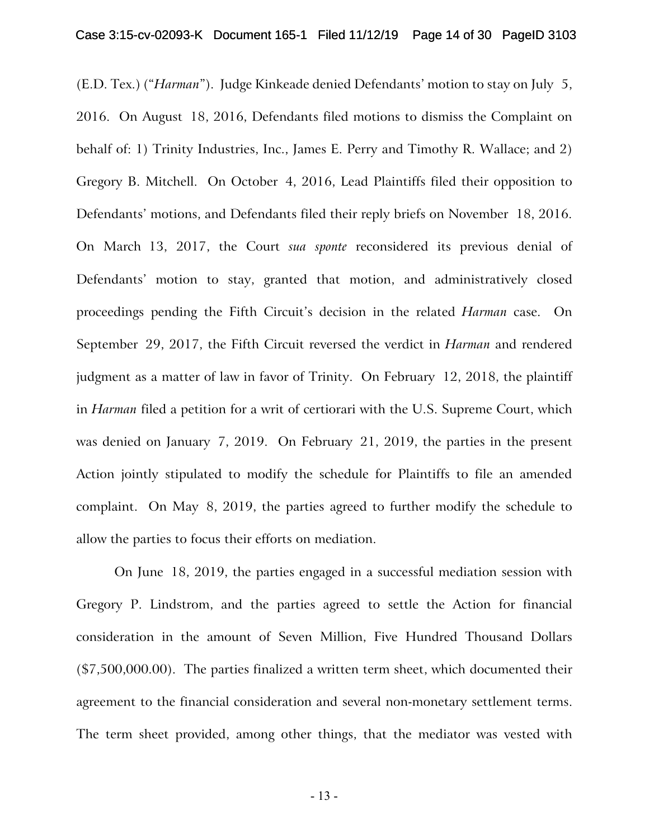(E.D. Tex.) ("*Harman*"). Judge Kinkeade denied Defendants' motion to stay on July 5, 2016. On August 18, 2016, Defendants filed motions to dismiss the Complaint on behalf of: 1) Trinity Industries, Inc., James E. Perry and Timothy R. Wallace; and 2) Gregory B. Mitchell. On October 4, 2016, Lead Plaintiffs filed their opposition to Defendants' motions, and Defendants filed their reply briefs on November 18, 2016. On March 13, 2017, the Court *sua sponte* reconsidered its previous denial of Defendants' motion to stay, granted that motion, and administratively closed proceedings pending the Fifth Circuit's decision in the related *Harman* case. On September 29, 2017, the Fifth Circuit reversed the verdict in *Harman* and rendered judgment as a matter of law in favor of Trinity. On February 12, 2018, the plaintiff in *Harman* filed a petition for a writ of certiorari with the U.S. Supreme Court, which was denied on January 7, 2019. On February 21, 2019, the parties in the present Action jointly stipulated to modify the schedule for Plaintiffs to file an amended complaint. On May 8, 2019, the parties agreed to further modify the schedule to allow the parties to focus their efforts on mediation.

On June 18, 2019, the parties engaged in a successful mediation session with Gregory P. Lindstrom, and the parties agreed to settle the Action for financial consideration in the amount of Seven Million, Five Hundred Thousand Dollars (\$7,500,000.00). The parties finalized a written term sheet, which documented their agreement to the financial consideration and several non-monetary settlement terms. The term sheet provided, among other things, that the mediator was vested with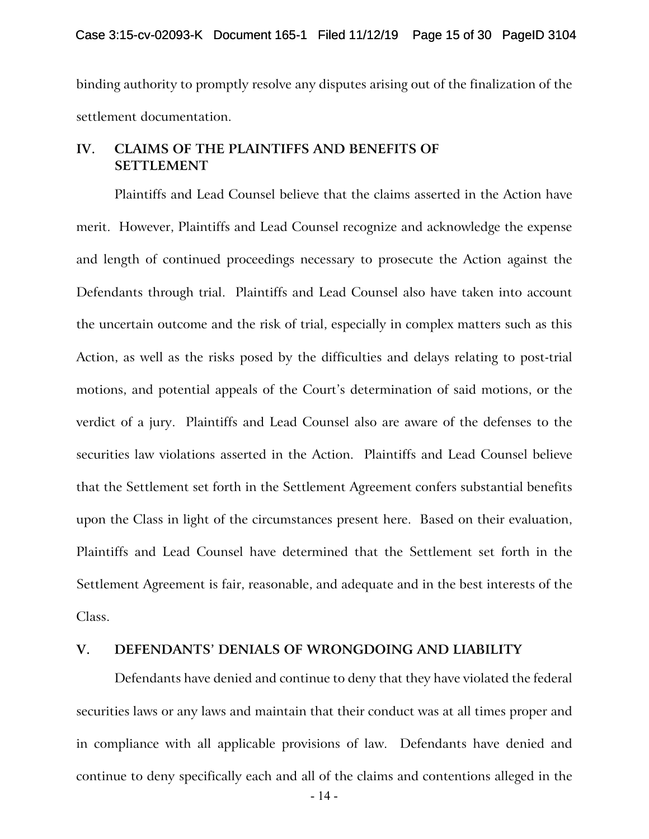binding authority to promptly resolve any disputes arising out of the finalization of the settlement documentation.

# **IV. CLAIMS OF THE PLAINTIFFS AND BENEFITS OF SETTLEMENT**

Plaintiffs and Lead Counsel believe that the claims asserted in the Action have merit. However, Plaintiffs and Lead Counsel recognize and acknowledge the expense and length of continued proceedings necessary to prosecute the Action against the Defendants through trial. Plaintiffs and Lead Counsel also have taken into account the uncertain outcome and the risk of trial, especially in complex matters such as this Action, as well as the risks posed by the difficulties and delays relating to post-trial motions, and potential appeals of the Court's determination of said motions, or the verdict of a jury. Plaintiffs and Lead Counsel also are aware of the defenses to the securities law violations asserted in the Action. Plaintiffs and Lead Counsel believe that the Settlement set forth in the Settlement Agreement confers substantial benefits upon the Class in light of the circumstances present here. Based on their evaluation, Plaintiffs and Lead Counsel have determined that the Settlement set forth in the Settlement Agreement is fair, reasonable, and adequate and in the best interests of the Class.

### **V. DEFENDANTS' DENIALS OF WRONGDOING AND LIABILITY**

Defendants have denied and continue to deny that they have violated the federal securities laws or any laws and maintain that their conduct was at all times proper and in compliance with all applicable provisions of law. Defendants have denied and continue to deny specifically each and all of the claims and contentions alleged in the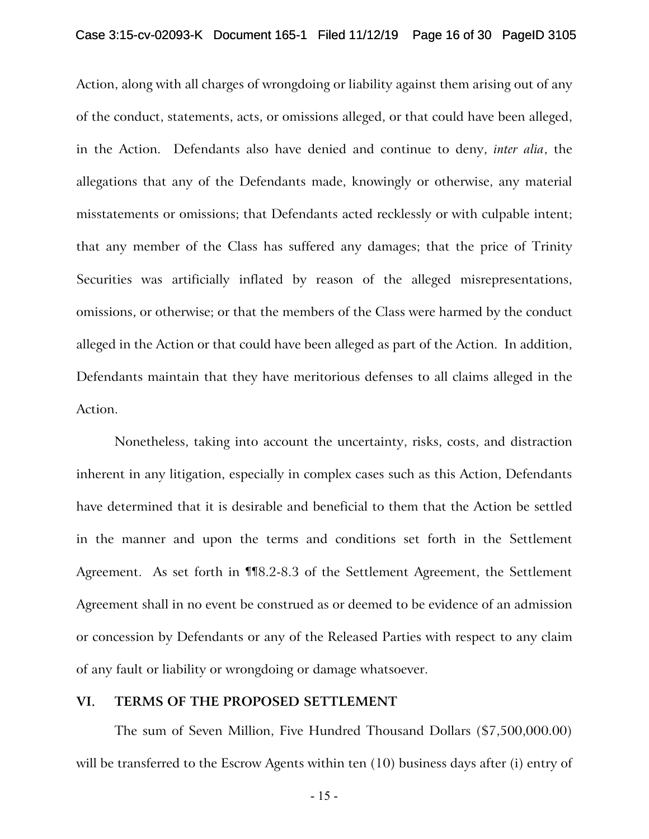Action, along with all charges of wrongdoing or liability against them arising out of any of the conduct, statements, acts, or omissions alleged, or that could have been alleged, in the Action. Defendants also have denied and continue to deny, *inter alia*, the allegations that any of the Defendants made, knowingly or otherwise, any material misstatements or omissions; that Defendants acted recklessly or with culpable intent; that any member of the Class has suffered any damages; that the price of Trinity Securities was artificially inflated by reason of the alleged misrepresentations, omissions, or otherwise; or that the members of the Class were harmed by the conduct alleged in the Action or that could have been alleged as part of the Action. In addition, Defendants maintain that they have meritorious defenses to all claims alleged in the Action.

Nonetheless, taking into account the uncertainty, risks, costs, and distraction inherent in any litigation, especially in complex cases such as this Action, Defendants have determined that it is desirable and beneficial to them that the Action be settled in the manner and upon the terms and conditions set forth in the Settlement Agreement. As set forth in ¶¶8.2-8.3 of the Settlement Agreement, the Settlement Agreement shall in no event be construed as or deemed to be evidence of an admission or concession by Defendants or any of the Released Parties with respect to any claim of any fault or liability or wrongdoing or damage whatsoever.

### **VI. TERMS OF THE PROPOSED SETTLEMENT**

The sum of Seven Million, Five Hundred Thousand Dollars (\$7,500,000.00) will be transferred to the Escrow Agents within ten (10) business days after (i) entry of

- 15 -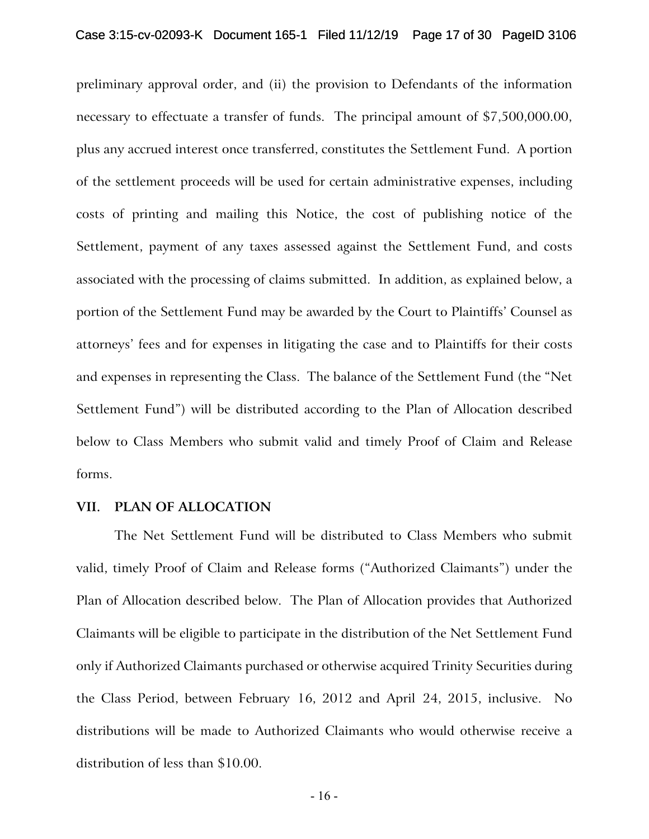preliminary approval order, and (ii) the provision to Defendants of the information necessary to effectuate a transfer of funds. The principal amount of \$7,500,000.00, plus any accrued interest once transferred, constitutes the Settlement Fund. A portion of the settlement proceeds will be used for certain administrative expenses, including costs of printing and mailing this Notice, the cost of publishing notice of the Settlement, payment of any taxes assessed against the Settlement Fund, and costs associated with the processing of claims submitted. In addition, as explained below, a portion of the Settlement Fund may be awarded by the Court to Plaintiffs' Counsel as attorneys' fees and for expenses in litigating the case and to Plaintiffs for their costs and expenses in representing the Class. The balance of the Settlement Fund (the "Net Settlement Fund") will be distributed according to the Plan of Allocation described below to Class Members who submit valid and timely Proof of Claim and Release forms.

### **VII. PLAN OF ALLOCATION**

The Net Settlement Fund will be distributed to Class Members who submit valid, timely Proof of Claim and Release forms ("Authorized Claimants") under the Plan of Allocation described below. The Plan of Allocation provides that Authorized Claimants will be eligible to participate in the distribution of the Net Settlement Fund only if Authorized Claimants purchased or otherwise acquired Trinity Securities during the Class Period, between February 16, 2012 and April 24, 2015, inclusive. No distributions will be made to Authorized Claimants who would otherwise receive a distribution of less than \$10.00.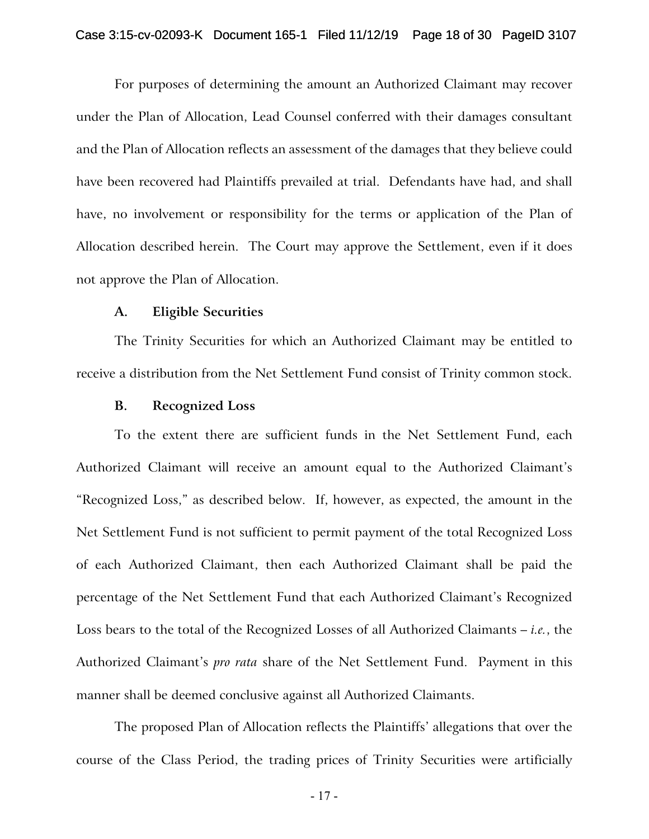For purposes of determining the amount an Authorized Claimant may recover under the Plan of Allocation, Lead Counsel conferred with their damages consultant and the Plan of Allocation reflects an assessment of the damages that they believe could have been recovered had Plaintiffs prevailed at trial. Defendants have had, and shall have, no involvement or responsibility for the terms or application of the Plan of Allocation described herein. The Court may approve the Settlement, even if it does not approve the Plan of Allocation.

#### **A. Eligible Securities**

The Trinity Securities for which an Authorized Claimant may be entitled to receive a distribution from the Net Settlement Fund consist of Trinity common stock.

#### **B. Recognized Loss**

To the extent there are sufficient funds in the Net Settlement Fund, each Authorized Claimant will receive an amount equal to the Authorized Claimant's "Recognized Loss," as described below. If, however, as expected, the amount in the Net Settlement Fund is not sufficient to permit payment of the total Recognized Loss of each Authorized Claimant, then each Authorized Claimant shall be paid the percentage of the Net Settlement Fund that each Authorized Claimant's Recognized Loss bears to the total of the Recognized Losses of all Authorized Claimants – *i.e.*, the Authorized Claimant's *pro rata* share of the Net Settlement Fund. Payment in this manner shall be deemed conclusive against all Authorized Claimants.

The proposed Plan of Allocation reflects the Plaintiffs' allegations that over the course of the Class Period, the trading prices of Trinity Securities were artificially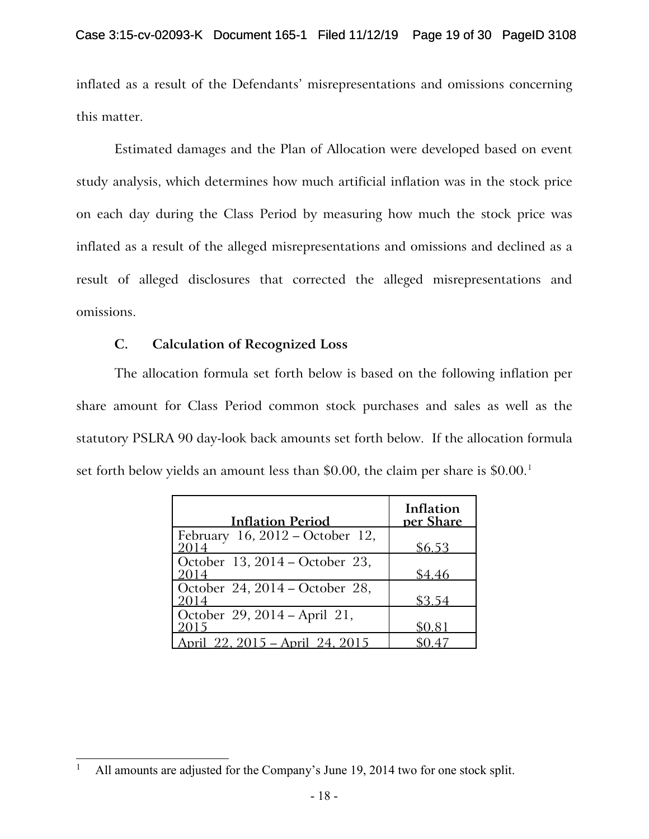inflated as a result of the Defendants' misrepresentations and omissions concerning this matter.

Estimated damages and the Plan of Allocation were developed based on event study analysis, which determines how much artificial inflation was in the stock price on each day during the Class Period by measuring how much the stock price was inflated as a result of the alleged misrepresentations and omissions and declined as a result of alleged disclosures that corrected the alleged misrepresentations and omissions.

# **C. Calculation of Recognized Loss**

The allocation formula set forth below is based on the following inflation per share amount for Class Period common stock purchases and sales as well as the statutory PSLRA 90 day-look back amounts set forth below. If the allocation formula set forth below yields an amount less than \$0.00, the claim per share is  $$0.00$ <sup>[1](#page-30-0)</sup>

| <b>Inflation Period</b>                    | Inflation<br>per Share |
|--------------------------------------------|------------------------|
| February 16, $2012 - October 12$ ,<br>2014 | \$6.53                 |
| October 13, 2014 - October 23,<br>2014     | \$4.46                 |
| October 24, 2014 - October 28,<br>2014     | \$3.54                 |
| October 29, 2014 - April 21,<br>2015       | \$0.81                 |
| pril 22, 2015 – April 24, 2015             |                        |

<span id="page-30-0"></span>All amounts are adjusted for the Company's June 19, 2014 two for one stock split.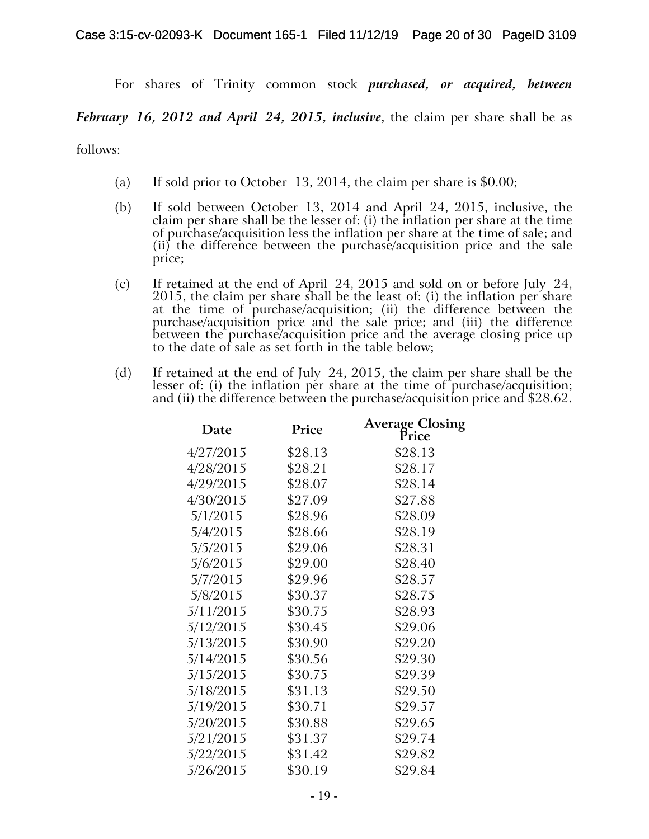For shares of Trinity common stock *purchased, or acquired, between* 

*February 16, 2012 and April 24, 2015, inclusive*, the claim per share shall be as

follows:

- (a) If sold prior to October 13, 2014, the claim per share is \$0.00;
- (b) If sold between October 13, 2014 and April 24, 2015, inclusive, the claim per share shall be the lesser of: (i) the inflation per share at the time of purchase/acquisition less the inflation per share at the time of sale; and  $(ii)$  the difference between the purchase/acquisition price and the sale price;
- (c) If retained at the end of April 24, 2015 and sold on or before July 24, 2015, the claim per share shall be the least of: (i) the inflation per share at the time of purchase/acquisition; (ii) the difference between the purchase/acquisition price and the sale price; and (iii) the difference between the purchase/acquisition price and the average closing price up to the date of sale as set forth in the table below;
- (d) If retained at the end of July 24, 2015, the claim per share shall be the lesser of: (i) the inflation per share at the time of purchase/acquisition; and (ii) the difference between the purchase/acquisition price and \$28.62.

| Date      | Price   | <b>Average Closing</b><br>Price |
|-----------|---------|---------------------------------|
| 4/27/2015 | \$28.13 | \$28.13                         |
| 4/28/2015 | \$28.21 | \$28.17                         |
| 4/29/2015 | \$28.07 | \$28.14                         |
| 4/30/2015 | \$27.09 | \$27.88                         |
| 5/1/2015  | \$28.96 | \$28.09                         |
| 5/4/2015  | \$28.66 | \$28.19                         |
| 5/5/2015  | \$29.06 | \$28.31                         |
| 5/6/2015  | \$29.00 | \$28.40                         |
| 5/7/2015  | \$29.96 | \$28.57                         |
| 5/8/2015  | \$30.37 | \$28.75                         |
| 5/11/2015 | \$30.75 | \$28.93                         |
| 5/12/2015 | \$30.45 | \$29.06                         |
| 5/13/2015 | \$30.90 | \$29.20                         |
| 5/14/2015 | \$30.56 | \$29.30                         |
| 5/15/2015 | \$30.75 | \$29.39                         |
| 5/18/2015 | \$31.13 | \$29.50                         |
| 5/19/2015 | \$30.71 | \$29.57                         |
| 5/20/2015 | \$30.88 | \$29.65                         |
| 5/21/2015 | \$31.37 | \$29.74                         |
| 5/22/2015 | \$31.42 | \$29.82                         |
| 5/26/2015 | \$30.19 | \$29.84                         |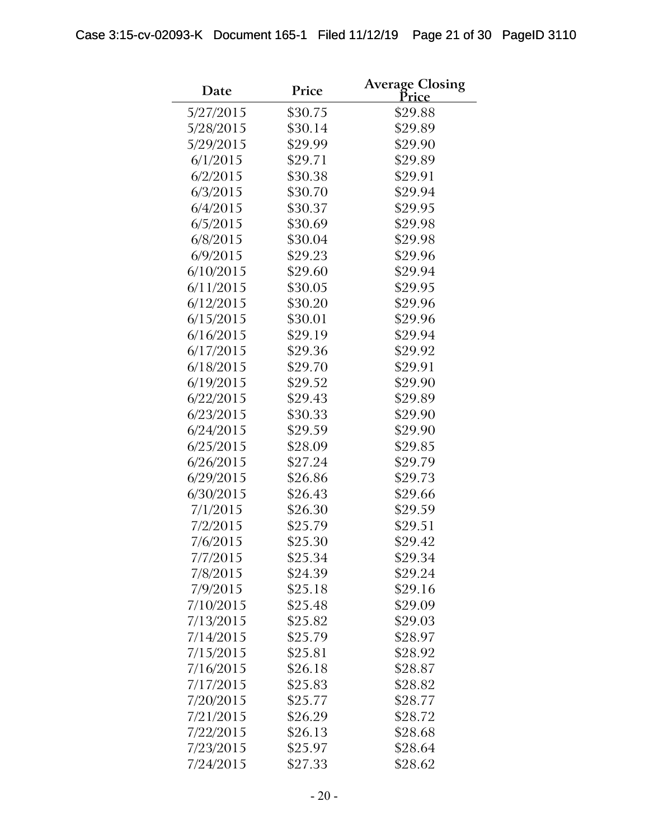| Date      | Price   | <b>Average Closing</b><br>Pri <u>ce</u> |
|-----------|---------|-----------------------------------------|
| 5/27/2015 | \$30.75 | \$29.88                                 |
| 5/28/2015 | \$30.14 | \$29.89                                 |
| 5/29/2015 | \$29.99 | \$29.90                                 |
| 6/1/2015  | \$29.71 | \$29.89                                 |
| 6/2/2015  | \$30.38 | \$29.91                                 |
| 6/3/2015  | \$30.70 | \$29.94                                 |
| 6/4/2015  | \$30.37 | \$29.95                                 |
| 6/5/2015  | \$30.69 | \$29.98                                 |
| 6/8/2015  | \$30.04 | \$29.98                                 |
| 6/9/2015  | \$29.23 | \$29.96                                 |
| 6/10/2015 | \$29.60 | \$29.94                                 |
| 6/11/2015 | \$30.05 | \$29.95                                 |
| 6/12/2015 | \$30.20 | \$29.96                                 |
| 6/15/2015 | \$30.01 | \$29.96                                 |
| 6/16/2015 | \$29.19 | \$29.94                                 |
| 6/17/2015 | \$29.36 | \$29.92                                 |
| 6/18/2015 | \$29.70 | \$29.91                                 |
| 6/19/2015 | \$29.52 | \$29.90                                 |
| 6/22/2015 | \$29.43 | \$29.89                                 |
| 6/23/2015 | \$30.33 | \$29.90                                 |
| 6/24/2015 | \$29.59 | \$29.90                                 |
| 6/25/2015 | \$28.09 | \$29.85                                 |
| 6/26/2015 | \$27.24 | \$29.79                                 |
| 6/29/2015 | \$26.86 | \$29.73                                 |
| 6/30/2015 | \$26.43 | \$29.66                                 |
| 7/1/2015  | \$26.30 | \$29.59                                 |
| 7/2/2015  | \$25.79 | \$29.51                                 |
| 7/6/2015  | \$25.30 | \$29.42                                 |
| 7/7/2015  | \$25.34 | \$29.34                                 |
| 7/8/2015  | \$24.39 | \$29.24                                 |
| 7/9/2015  | \$25.18 | \$29.16                                 |
| 7/10/2015 | \$25.48 | \$29.09                                 |
| 7/13/2015 | \$25.82 | \$29.03                                 |
| 7/14/2015 | \$25.79 | \$28.97                                 |
| 7/15/2015 | \$25.81 | \$28.92                                 |
| 7/16/2015 | \$26.18 | \$28.87                                 |
| 7/17/2015 | \$25.83 | \$28.82                                 |
| 7/20/2015 | \$25.77 | \$28.77                                 |
| 7/21/2015 | \$26.29 | \$28.72                                 |
| 7/22/2015 | \$26.13 | \$28.68                                 |
| 7/23/2015 | \$25.97 | \$28.64                                 |
| 7/24/2015 | \$27.33 | \$28.62                                 |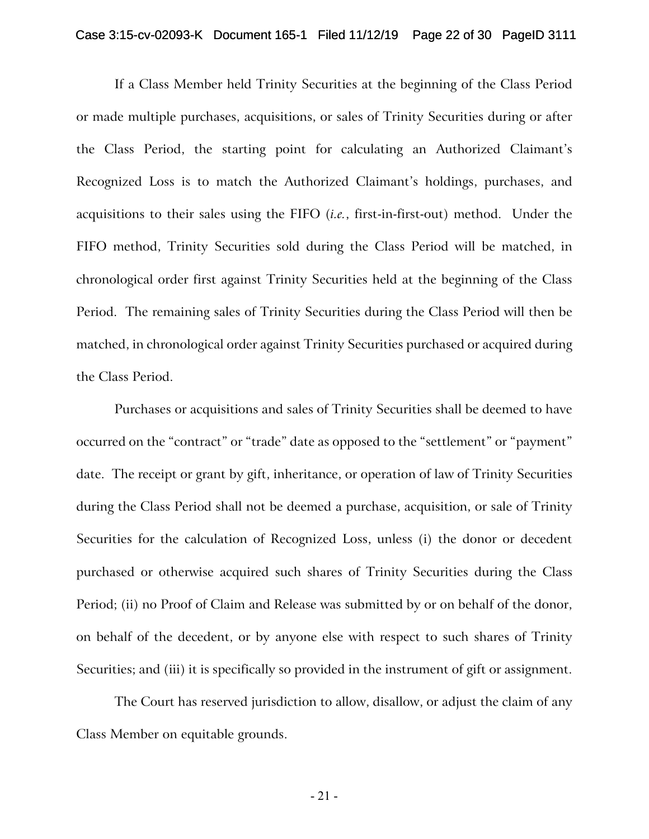#### Case 3:15-cv-02093-K Document 165-1 Filed 11/12/19 Page 22 of 30 PageID 3111

If a Class Member held Trinity Securities at the beginning of the Class Period or made multiple purchases, acquisitions, or sales of Trinity Securities during or after the Class Period, the starting point for calculating an Authorized Claimant's Recognized Loss is to match the Authorized Claimant's holdings, purchases, and acquisitions to their sales using the FIFO (*i.e.*, first-in-first-out) method. Under the FIFO method, Trinity Securities sold during the Class Period will be matched, in chronological order first against Trinity Securities held at the beginning of the Class Period. The remaining sales of Trinity Securities during the Class Period will then be matched, in chronological order against Trinity Securities purchased or acquired during the Class Period.

Purchases or acquisitions and sales of Trinity Securities shall be deemed to have occurred on the "contract" or "trade" date as opposed to the "settlement" or "payment" date. The receipt or grant by gift, inheritance, or operation of law of Trinity Securities during the Class Period shall not be deemed a purchase, acquisition, or sale of Trinity Securities for the calculation of Recognized Loss, unless (i) the donor or decedent purchased or otherwise acquired such shares of Trinity Securities during the Class Period; (ii) no Proof of Claim and Release was submitted by or on behalf of the donor, on behalf of the decedent, or by anyone else with respect to such shares of Trinity Securities; and (iii) it is specifically so provided in the instrument of gift or assignment.

The Court has reserved jurisdiction to allow, disallow, or adjust the claim of any Class Member on equitable grounds.

- 21 -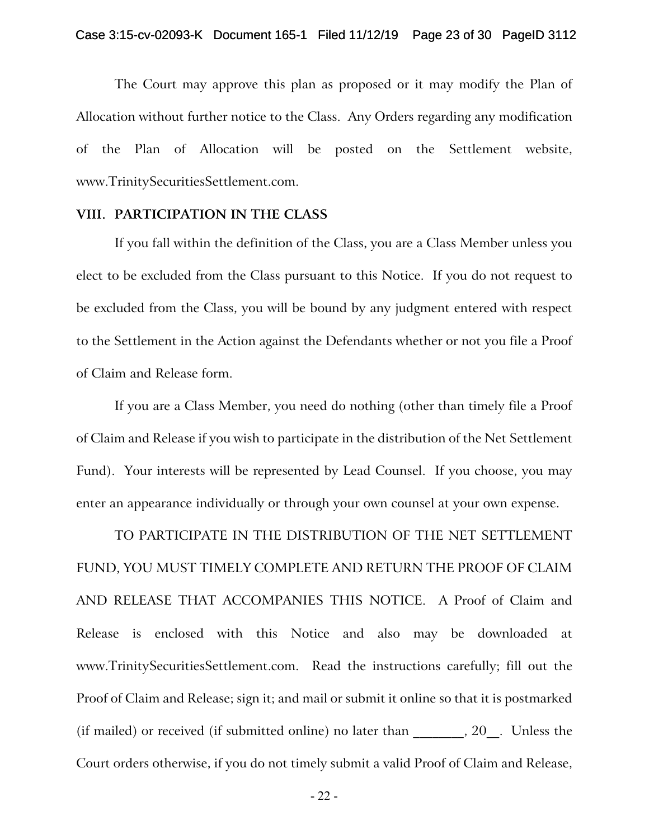The Court may approve this plan as proposed or it may modify the Plan of Allocation without further notice to the Class. Any Orders regarding any modification of the Plan of Allocation will be posted on the Settlement website, www.TrinitySecuritiesSettlement.com.

#### **VIII. PARTICIPATION IN THE CLASS**

If you fall within the definition of the Class, you are a Class Member unless you elect to be excluded from the Class pursuant to this Notice. If you do not request to be excluded from the Class, you will be bound by any judgment entered with respect to the Settlement in the Action against the Defendants whether or not you file a Proof of Claim and Release form.

If you are a Class Member, you need do nothing (other than timely file a Proof of Claim and Release if you wish to participate in the distribution of the Net Settlement Fund). Your interests will be represented by Lead Counsel. If you choose, you may enter an appearance individually or through your own counsel at your own expense.

TO PARTICIPATE IN THE DISTRIBUTION OF THE NET SETTLEMENT FUND, YOU MUST TIMELY COMPLETE AND RETURN THE PROOF OF CLAIM AND RELEASE THAT ACCOMPANIES THIS NOTICE. A Proof of Claim and Release is enclosed with this Notice and also may be downloaded at www.TrinitySecuritiesSettlement.com. Read the instructions carefully; fill out the Proof of Claim and Release; sign it; and mail or submit it online so that it is postmarked (if mailed) or received (if submitted online) no later than  $\qquad \qquad , 20$ . Unless the Court orders otherwise, if you do not timely submit a valid Proof of Claim and Release,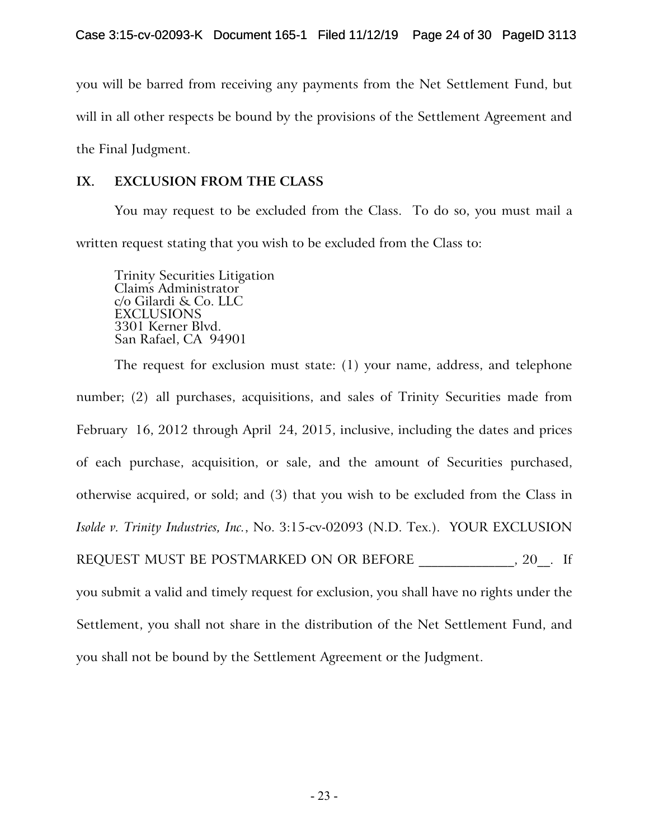you will be barred from receiving any payments from the Net Settlement Fund, but will in all other respects be bound by the provisions of the Settlement Agreement and the Final Judgment.

# **IX. EXCLUSION FROM THE CLASS**

You may request to be excluded from the Class. To do so, you must mail a written request stating that you wish to be excluded from the Class to:

Trinity Securities Litigation Claims Administrator c/o Gilardi & Co. LLC EXCLUSIONS 3301 Kerner Blvd. San Rafael, CA 94901

The request for exclusion must state: (1) your name, address, and telephone number; (2) all purchases, acquisitions, and sales of Trinity Securities made from February 16, 2012 through April 24, 2015, inclusive, including the dates and prices of each purchase, acquisition, or sale, and the amount of Securities purchased, otherwise acquired, or sold; and (3) that you wish to be excluded from the Class in *Isolde v. Trinity Industries, Inc.*, No. 3:15-cv-02093 (N.D. Tex.). YOUR EXCLUSION REQUEST MUST BE POSTMARKED ON OR BEFORE  $, 20$ . If you submit a valid and timely request for exclusion, you shall have no rights under the Settlement, you shall not share in the distribution of the Net Settlement Fund, and

you shall not be bound by the Settlement Agreement or the Judgment.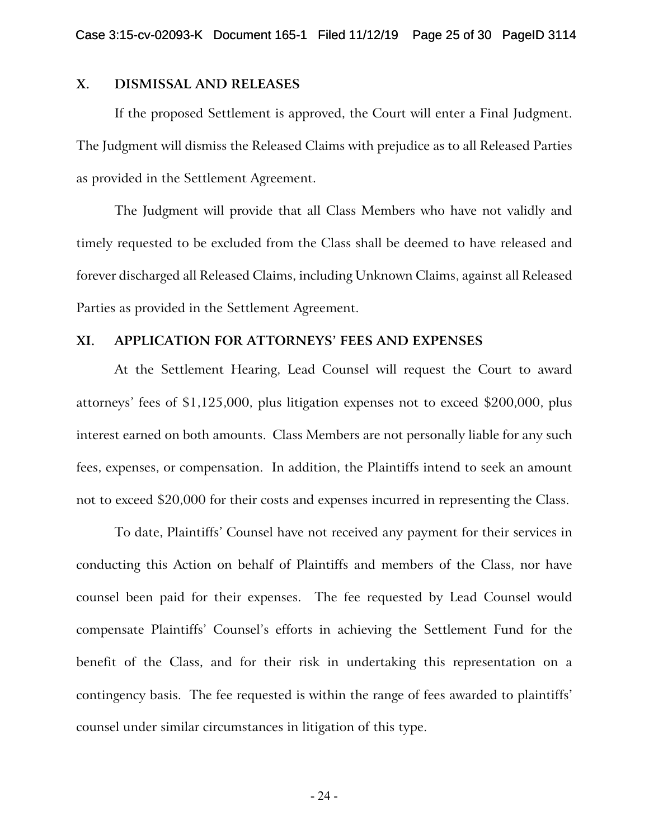## **X. DISMISSAL AND RELEASES**

If the proposed Settlement is approved, the Court will enter a Final Judgment. The Judgment will dismiss the Released Claims with prejudice as to all Released Parties as provided in the Settlement Agreement.

The Judgment will provide that all Class Members who have not validly and timely requested to be excluded from the Class shall be deemed to have released and forever discharged all Released Claims, including Unknown Claims, against all Released Parties as provided in the Settlement Agreement.

### **XI. APPLICATION FOR ATTORNEYS' FEES AND EXPENSES**

At the Settlement Hearing, Lead Counsel will request the Court to award attorneys' fees of \$1,125,000, plus litigation expenses not to exceed \$200,000, plus interest earned on both amounts. Class Members are not personally liable for any such fees, expenses, or compensation. In addition, the Plaintiffs intend to seek an amount not to exceed \$20,000 for their costs and expenses incurred in representing the Class.

To date, Plaintiffs' Counsel have not received any payment for their services in conducting this Action on behalf of Plaintiffs and members of the Class, nor have counsel been paid for their expenses. The fee requested by Lead Counsel would compensate Plaintiffs' Counsel's efforts in achieving the Settlement Fund for the benefit of the Class, and for their risk in undertaking this representation on a contingency basis. The fee requested is within the range of fees awarded to plaintiffs' counsel under similar circumstances in litigation of this type.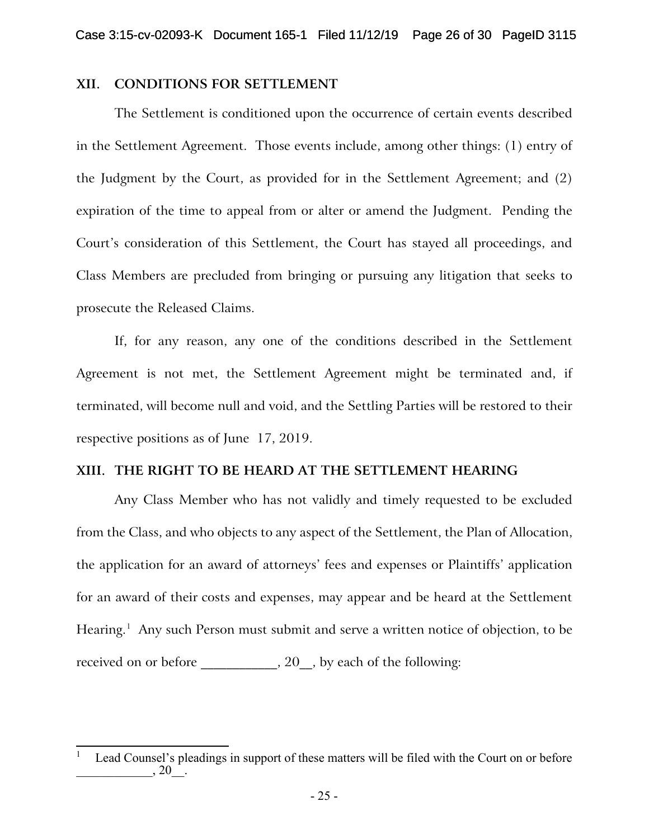### **XII. CONDITIONS FOR SETTLEMENT**

The Settlement is conditioned upon the occurrence of certain events described in the Settlement Agreement. Those events include, among other things: (1) entry of the Judgment by the Court, as provided for in the Settlement Agreement; and (2) expiration of the time to appeal from or alter or amend the Judgment. Pending the Court's consideration of this Settlement, the Court has stayed all proceedings, and Class Members are precluded from bringing or pursuing any litigation that seeks to prosecute the Released Claims.

If, for any reason, any one of the conditions described in the Settlement Agreement is not met, the Settlement Agreement might be terminated and, if terminated, will become null and void, and the Settling Parties will be restored to their respective positions as of June 17, 2019.

# **XIII. THE RIGHT TO BE HEARD AT THE SETTLEMENT HEARING**

Any Class Member who has not validly and timely requested to be excluded from the Class, and who objects to any aspect of the Settlement, the Plan of Allocation, the application for an award of attorneys' fees and expenses or Plaintiffs' application for an award of their costs and expenses, may appear and be heard at the Settlement Hearing.<sup>[1](#page-37-0)</sup> Any such Person must submit and serve a written notice of objection, to be received on or before \_\_\_\_\_\_\_\_\_, 20\_, by each of the following:

<span id="page-37-0"></span>Lead Counsel's pleadings in support of these matters will be filed with the Court on or before  $, 20$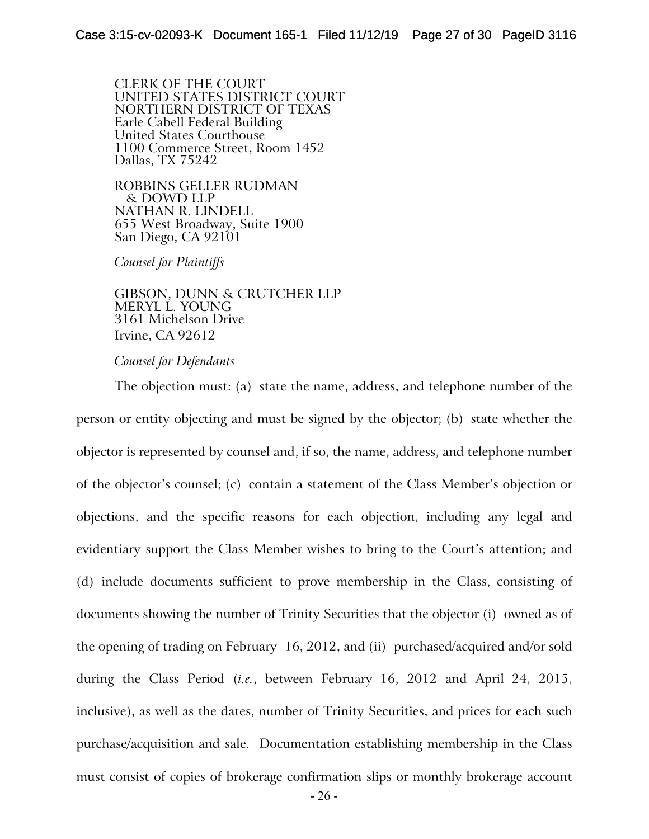CLERK OF THE COURT UNITED STATES DISTRICT COURT NORTHERN DISTRICT OF TEXAS Earle Cabell Federal Building United States Courthouse 1100 Commerce Street, Room 1452 Dallas, TX 75242

ROBBINS GELLER RUDMAN & DOWD LLP NATHAN R. LINDELL 655 West Broadway, Suite 1900 San Diego, CA 92101

*Counsel for Plaintiffs*

GIBSON, DUNN & CRUTCHER LLP MERYL L. YOUNG 3161 Michelson Drive Irvine, CA 92612

### *Counsel for Defendants*

The objection must: (a) state the name, address, and telephone number of the person or entity objecting and must be signed by the objector; (b) state whether the objector is represented by counsel and, if so, the name, address, and telephone number of the objector's counsel; (c) contain a statement of the Class Member's objection or objections, and the specific reasons for each objection, including any legal and evidentiary support the Class Member wishes to bring to the Court's attention; and (d) include documents sufficient to prove membership in the Class, consisting of documents showing the number of Trinity Securities that the objector (i) owned as of the opening of trading on February 16, 2012, and (ii) purchased/acquired and/or sold during the Class Period (*i.e.*, between February 16, 2012 and April 24, 2015, inclusive), as well as the dates, number of Trinity Securities, and prices for each such purchase/acquisition and sale. Documentation establishing membership in the Class must consist of copies of brokerage confirmation slips or monthly brokerage account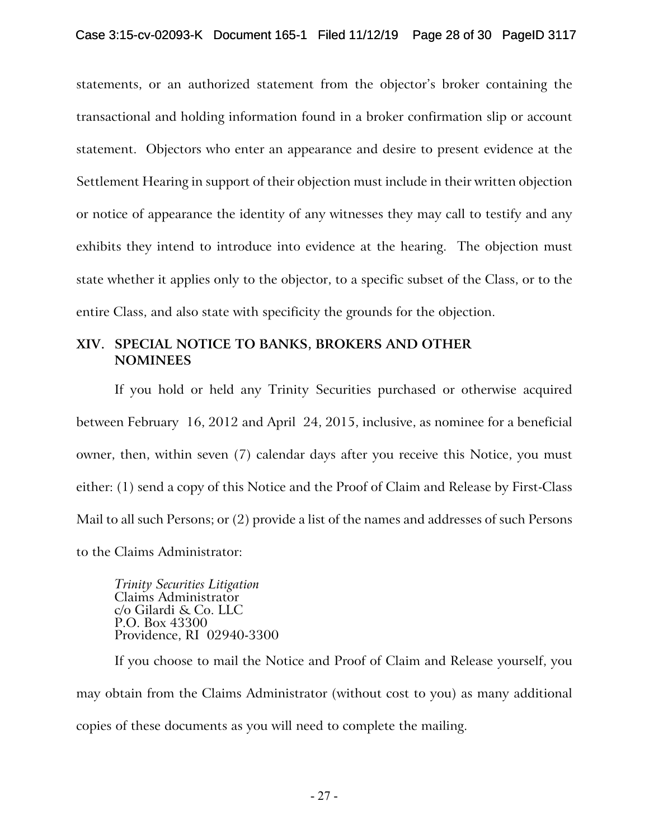statements, or an authorized statement from the objector's broker containing the transactional and holding information found in a broker confirmation slip or account statement. Objectors who enter an appearance and desire to present evidence at the Settlement Hearing in support of their objection must include in their written objection or notice of appearance the identity of any witnesses they may call to testify and any exhibits they intend to introduce into evidence at the hearing. The objection must state whether it applies only to the objector, to a specific subset of the Class, or to the entire Class, and also state with specificity the grounds for the objection.

# **XIV. SPECIAL NOTICE TO BANKS, BROKERS AND OTHER NOMINEES**

If you hold or held any Trinity Securities purchased or otherwise acquired between February 16, 2012 and April 24, 2015, inclusive, as nominee for a beneficial owner, then, within seven (7) calendar days after you receive this Notice, you must either: (1) send a copy of this Notice and the Proof of Claim and Release by First-Class Mail to all such Persons; or (2) provide a list of the names and addresses of such Persons to the Claims Administrator:

*Trinity Securities Litigation* Claims Administrator c/o Gilardi & Co. LLC P.O. Box 43300 Providence, RI 02940-3300

If you choose to mail the Notice and Proof of Claim and Release yourself, you may obtain from the Claims Administrator (without cost to you) as many additional copies of these documents as you will need to complete the mailing.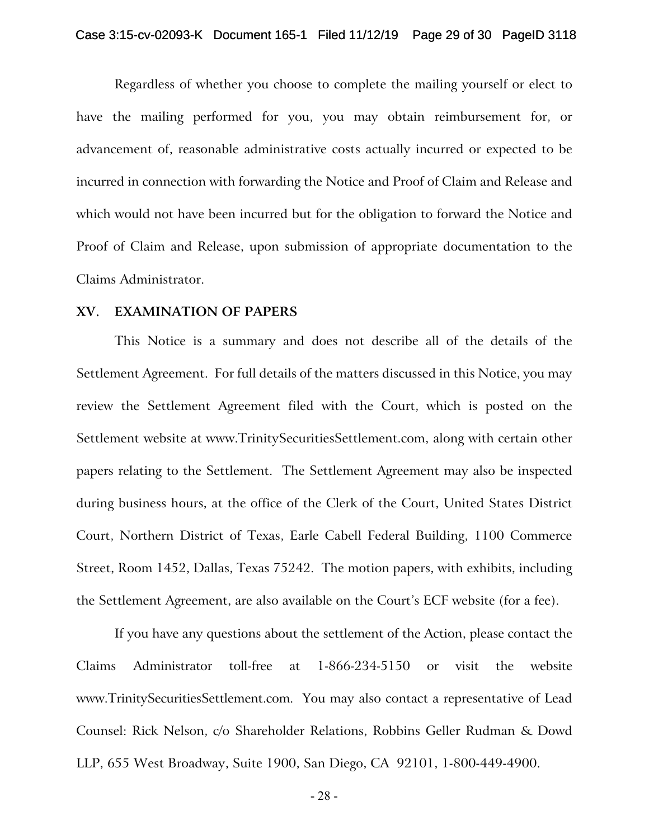Regardless of whether you choose to complete the mailing yourself or elect to have the mailing performed for you, you may obtain reimbursement for, or advancement of, reasonable administrative costs actually incurred or expected to be incurred in connection with forwarding the Notice and Proof of Claim and Release and which would not have been incurred but for the obligation to forward the Notice and Proof of Claim and Release, upon submission of appropriate documentation to the Claims Administrator.

### **XV. EXAMINATION OF PAPERS**

This Notice is a summary and does not describe all of the details of the Settlement Agreement. For full details of the matters discussed in this Notice, you may review the Settlement Agreement filed with the Court, which is posted on the Settlement website at www.TrinitySecuritiesSettlement.com, along with certain other papers relating to the Settlement. The Settlement Agreement may also be inspected during business hours, at the office of the Clerk of the Court, United States District Court, Northern District of Texas, Earle Cabell Federal Building, 1100 Commerce Street, Room 1452, Dallas, Texas 75242. The motion papers, with exhibits, including the Settlement Agreement, are also available on the Court's ECF website (for a fee).

If you have any questions about the settlement of the Action, please contact the Claims Administrator toll-free at 1-866-234-5150 or visit the website www.TrinitySecuritiesSettlement.com. You may also contact a representative of Lead Counsel: Rick Nelson, c/o Shareholder Relations, Robbins Geller Rudman & Dowd LLP, 655 West Broadway, Suite 1900, San Diego, CA 92101, 1-800-449-4900.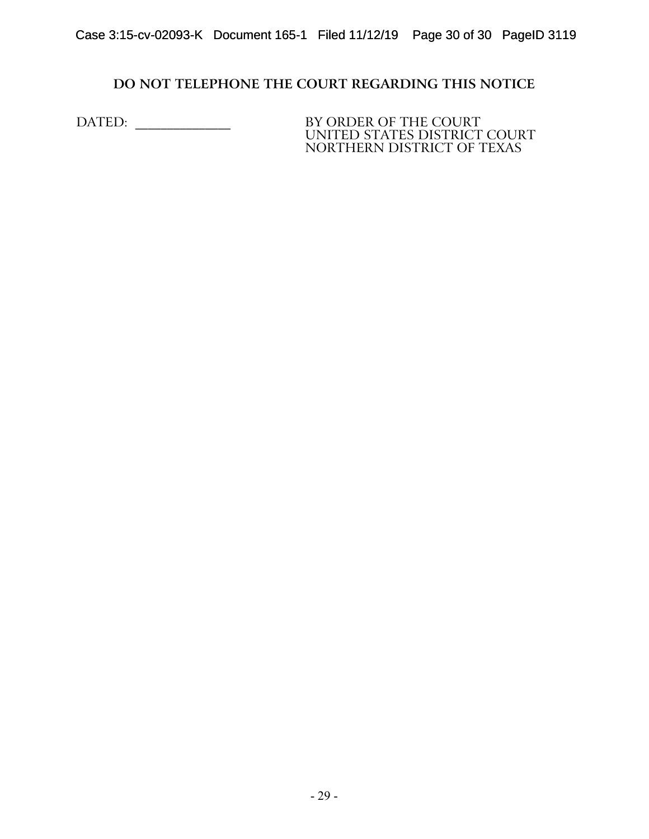# **DO NOT TELEPHONE THE COURT REGARDING THIS NOTICE**

DATED: \_\_\_\_\_\_\_\_\_\_\_\_\_\_\_ BY ORDER OF THE COURT

UNITED STATES DISTRICT COURT NORTHERN DISTRICT OF TEXAS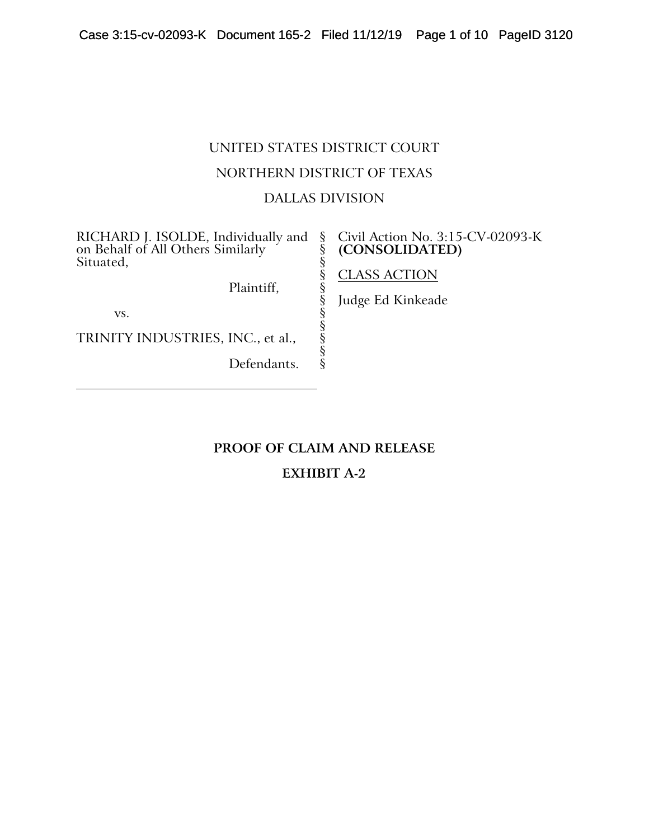# UNITED STATES DISTRICT COURT NORTHERN DISTRICT OF TEXAS DALLAS DIVISION

§ § § § § § § § § § §

RICHARD J. ISOLDE, Individually and on Behalf of All Others Similarly Situated,

Plaintiff,

vs.

TRINITY INDUSTRIES, INC., et al.,

Defendants.

### Civil Action No. 3:15-CV-02093-K **(CONSOLIDATED)**

# CLASS ACTION

Judge Ed Kinkeade

# **PROOF OF CLAIM AND RELEASE**

# **EXHIBIT A-2**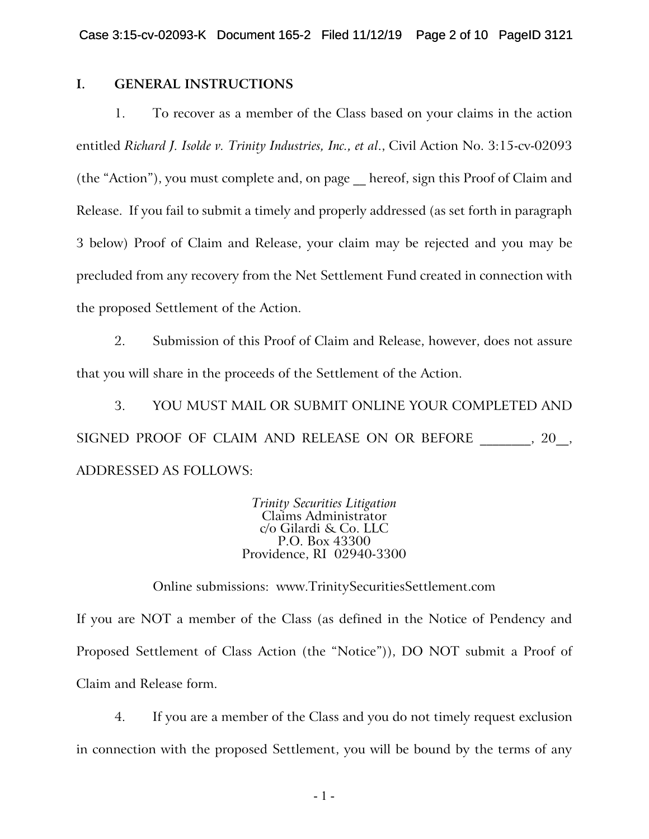# **I. GENERAL INSTRUCTIONS**

1. To recover as a member of the Class based on your claims in the action entitled *Richard J. Isolde v. Trinity Industries, Inc., et al*., Civil Action No. 3:15-cv-02093 (the "Action"), you must complete and, on page \_\_ hereof, sign this Proof of Claim and Release. If you fail to submit a timely and properly addressed (as set forth in paragraph 3 below) Proof of Claim and Release, your claim may be rejected and you may be precluded from any recovery from the Net Settlement Fund created in connection with the proposed Settlement of the Action.

2. Submission of this Proof of Claim and Release, however, does not assure that you will share in the proceeds of the Settlement of the Action.

3. YOU MUST MAIL OR SUBMIT ONLINE YOUR COMPLETED AND SIGNED PROOF OF CLAIM AND RELEASE ON OR BEFORE \_\_\_\_\_\_, 20\_, ADDRESSED AS FOLLOWS:

> *Trinity Securities Litigation* Claims Administrator c/o Gilardi & Co. LLC P.O. Box 43300 Providence, RI 02940-3300

Online submissions: www.TrinitySecuritiesSettlement.com

If you are NOT a member of the Class (as defined in the Notice of Pendency and Proposed Settlement of Class Action (the "Notice")), DO NOT submit a Proof of Claim and Release form.

4. If you are a member of the Class and you do not timely request exclusion in connection with the proposed Settlement, you will be bound by the terms of any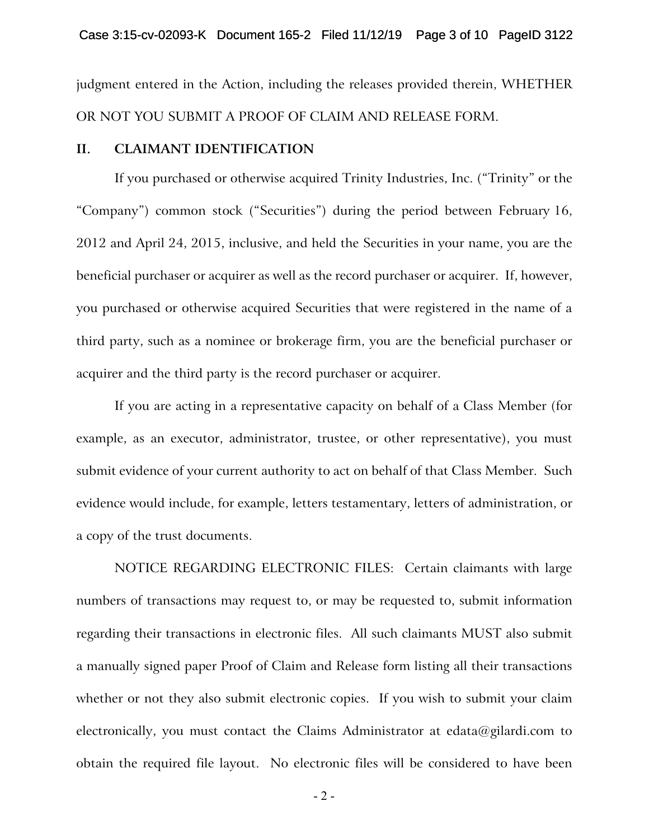judgment entered in the Action, including the releases provided therein, WHETHER OR NOT YOU SUBMIT A PROOF OF CLAIM AND RELEASE FORM.

### **II. CLAIMANT IDENTIFICATION**

If you purchased or otherwise acquired Trinity Industries, Inc. ("Trinity" or the "Company") common stock ("Securities") during the period between February 16, 2012 and April 24, 2015, inclusive, and held the Securities in your name, you are the beneficial purchaser or acquirer as well as the record purchaser or acquirer. If, however, you purchased or otherwise acquired Securities that were registered in the name of a third party, such as a nominee or brokerage firm, you are the beneficial purchaser or acquirer and the third party is the record purchaser or acquirer.

If you are acting in a representative capacity on behalf of a Class Member (for example, as an executor, administrator, trustee, or other representative), you must submit evidence of your current authority to act on behalf of that Class Member. Such evidence would include, for example, letters testamentary, letters of administration, or a copy of the trust documents.

NOTICE REGARDING ELECTRONIC FILES: Certain claimants with large numbers of transactions may request to, or may be requested to, submit information regarding their transactions in electronic files. All such claimants MUST also submit a manually signed paper Proof of Claim and Release form listing all their transactions whether or not they also submit electronic copies. If you wish to submit your claim electronically, you must contact the Claims Administrator at edata@gilardi.com to obtain the required file layout. No electronic files will be considered to have been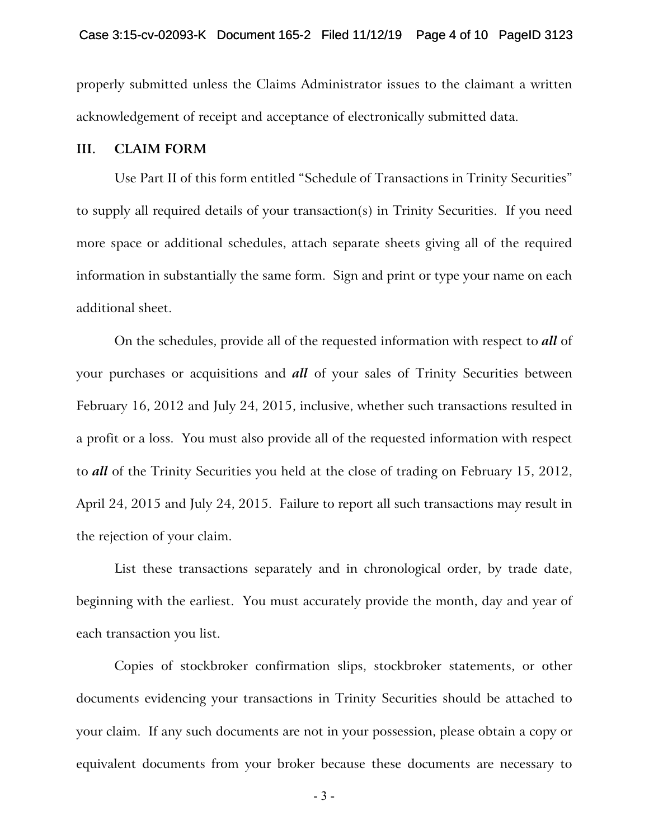properly submitted unless the Claims Administrator issues to the claimant a written acknowledgement of receipt and acceptance of electronically submitted data.

#### **III. CLAIM FORM**

Use Part II of this form entitled "Schedule of Transactions in Trinity Securities" to supply all required details of your transaction(s) in Trinity Securities. If you need more space or additional schedules, attach separate sheets giving all of the required information in substantially the same form. Sign and print or type your name on each additional sheet.

On the schedules, provide all of the requested information with respect to *all* of your purchases or acquisitions and *all* of your sales of Trinity Securities between February 16, 2012 and July 24, 2015, inclusive, whether such transactions resulted in a profit or a loss. You must also provide all of the requested information with respect to *all* of the Trinity Securities you held at the close of trading on February 15, 2012, April 24, 2015 and July 24, 2015. Failure to report all such transactions may result in the rejection of your claim.

List these transactions separately and in chronological order, by trade date, beginning with the earliest. You must accurately provide the month, day and year of each transaction you list.

Copies of stockbroker confirmation slips, stockbroker statements, or other documents evidencing your transactions in Trinity Securities should be attached to your claim. If any such documents are not in your possession, please obtain a copy or equivalent documents from your broker because these documents are necessary to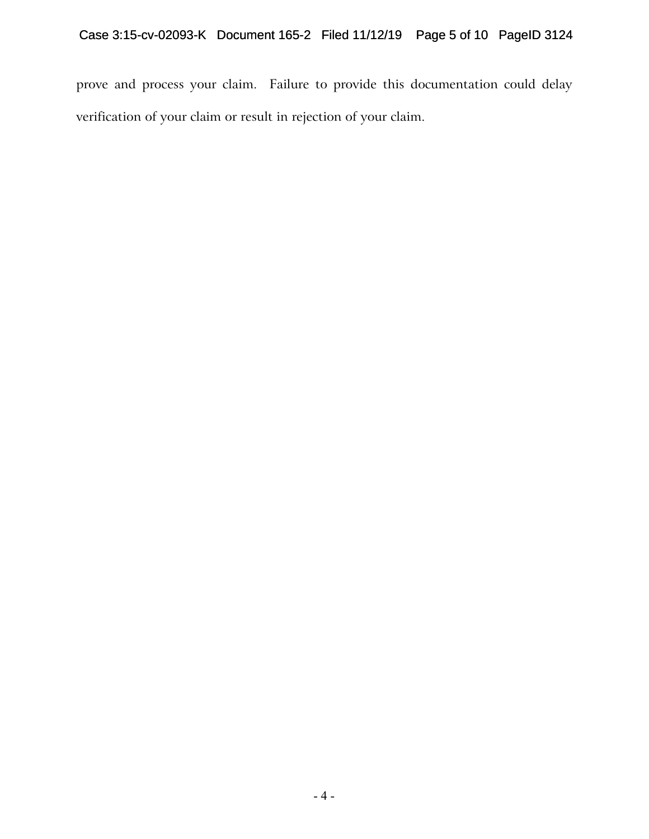prove and process your claim. Failure to provide this documentation could delay verification of your claim or result in rejection of your claim.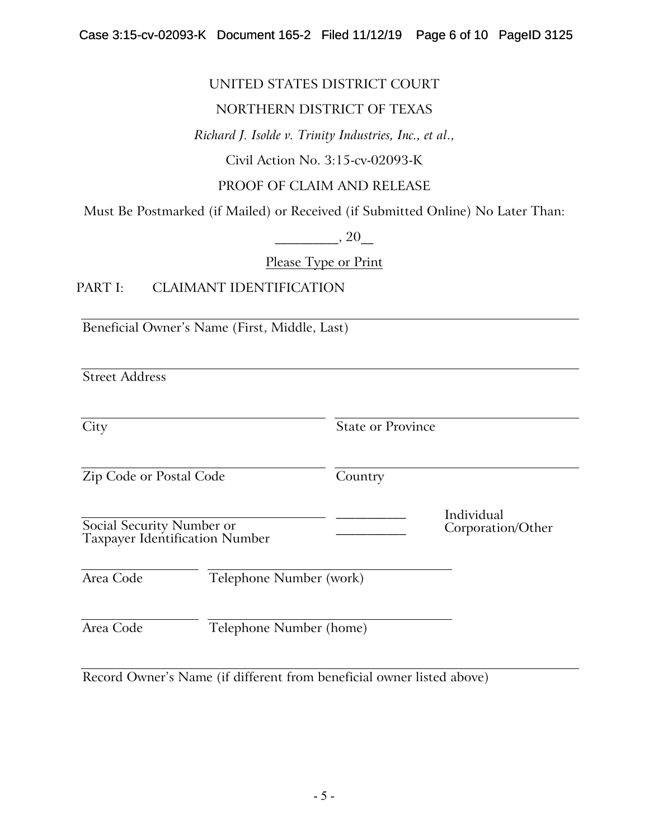# UNITED STATES DISTRICT COURT

# NORTHERN DISTRICT OF TEXAS

*Richard J. Isolde v. Trinity Industries, Inc., et al*.,

Civil Action No. 3:15-cv-02093-K

# PROOF OF CLAIM AND RELEASE

Must Be Postmarked (if Mailed) or Received (if Submitted Online) No Later Than:

 $, 20$ 

Please Type or Print

# PART I: CLAIMANT IDENTIFICATION

Beneficial Owner's Name (First, Middle, Last)

Street Address

City State or Province Zip Code or Postal Code Country Social Security Number or Taxpayer Identification Number \_\_\_\_\_\_\_\_\_\_\_ Individual \_\_\_\_\_\_\_\_\_\_\_ Corporation/Other Area Code Telephone Number (work) Area Code Telephone Number (home)

Record Owner's Name (if different from beneficial owner listed above)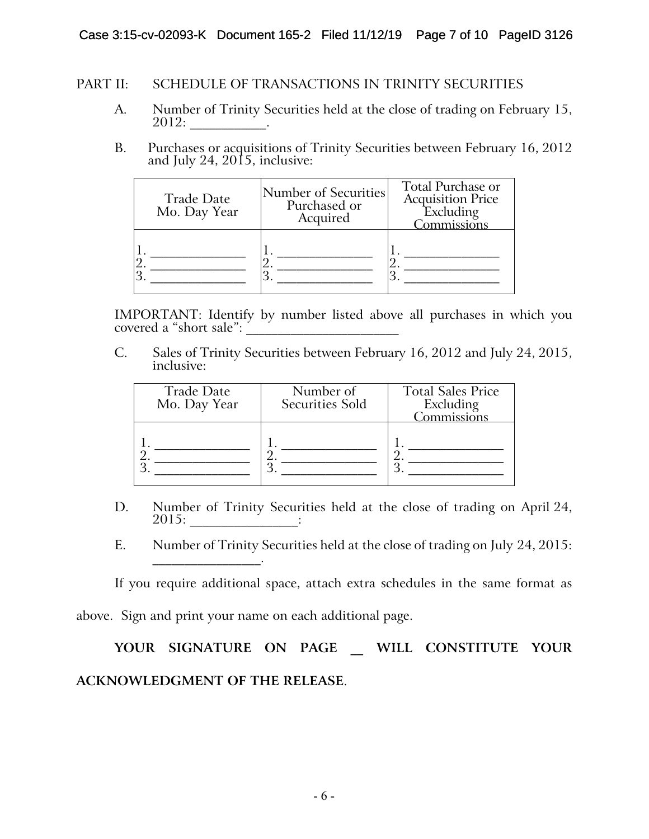# Case 3:15-cv-02093-K Document 165-2 Filed 11/12/19 Page 7 of 10 PageID 3126

### PART II: SCHEDULE OF TRANSACTIONS IN TRINITY SECURITIES

- A. Number of Trinity Securities held at the close of trading on February 15, 2012: \_\_\_\_\_\_\_\_\_\_\_\_.
- B. Purchases or acquisitions of Trinity Securities between February 16, 2012 and July 24, 2015, inclusive:

| Trade Date<br>Mo. Day Year | Number of Securities<br>Purchased or<br>Acquired | Total Purchase or<br><b>Acquisition Price</b><br>Excluding<br>Commissions |
|----------------------------|--------------------------------------------------|---------------------------------------------------------------------------|
|                            |                                                  |                                                                           |

IMPORTANT: Identify by number listed above all purchases in which you covered a "short sale":

C. Sales of Trinity Securities between February 16, 2012 and July 24, 2015, inclusive:

| <b>Trade Date</b><br>Mo. Day Year | Number of<br><b>Securities Sold</b> | <b>Total Sales Price</b><br>Excluding<br>Commissions |
|-----------------------------------|-------------------------------------|------------------------------------------------------|
|                                   |                                     |                                                      |

- D. Number of Trinity Securities held at the close of trading on April 24, 2015: \_\_\_\_\_\_\_\_\_\_\_\_\_\_\_\_\_:
- E. Number of Trinity Securities held at the close of trading on July 24, 2015:

If you require additional space, attach extra schedules in the same format as above. Sign and print your name on each additional page.

 $\mathcal{L}_\text{max}$  and  $\mathcal{L}_\text{max}$  and  $\mathcal{L}_\text{max}$ 

# **YOUR SIGNATURE ON PAGE \_\_ WILL CONSTITUTE YOUR ACKNOWLEDGMENT OF THE RELEASE**.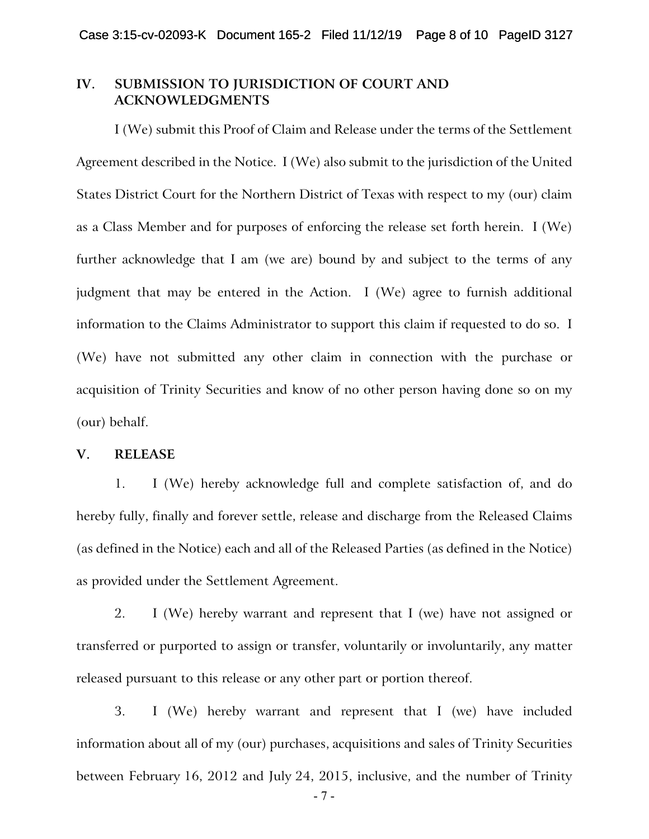### **IV. SUBMISSION TO JURISDICTION OF COURT AND ACKNOWLEDGMENTS**

I (We) submit this Proof of Claim and Release under the terms of the Settlement Agreement described in the Notice. I (We) also submit to the jurisdiction of the United States District Court for the Northern District of Texas with respect to my (our) claim as a Class Member and for purposes of enforcing the release set forth herein. I (We) further acknowledge that I am (we are) bound by and subject to the terms of any judgment that may be entered in the Action. I (We) agree to furnish additional information to the Claims Administrator to support this claim if requested to do so. I (We) have not submitted any other claim in connection with the purchase or acquisition of Trinity Securities and know of no other person having done so on my (our) behalf.

### **V. RELEASE**

1. I (We) hereby acknowledge full and complete satisfaction of, and do hereby fully, finally and forever settle, release and discharge from the Released Claims (as defined in the Notice) each and all of the Released Parties (as defined in the Notice) as provided under the Settlement Agreement.

2. I (We) hereby warrant and represent that I (we) have not assigned or transferred or purported to assign or transfer, voluntarily or involuntarily, any matter released pursuant to this release or any other part or portion thereof.

3. I (We) hereby warrant and represent that I (we) have included information about all of my (our) purchases, acquisitions and sales of Trinity Securities between February 16, 2012 and July 24, 2015, inclusive, and the number of Trinity

- 7 -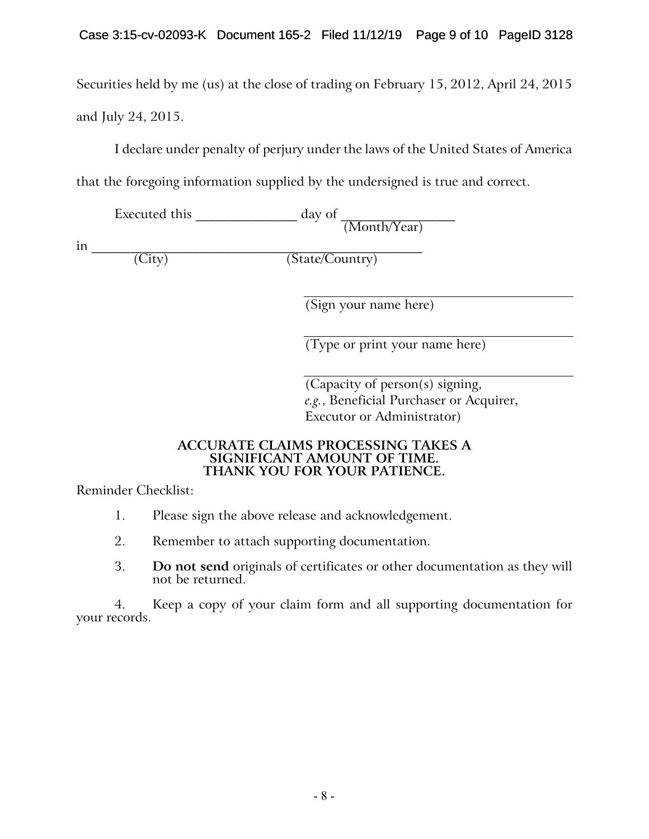Securities held by me (us) at the close of trading on February 15, 2012, April 24, 2015 and July 24, 2015.

I declare under penalty of perjury under the laws of the United States of America

that the foregoing information supplied by the undersigned is true and correct.

Executed this \_\_\_\_\_\_\_\_\_\_\_\_\_\_\_\_ day of \_\_\_\_\_\_\_\_\_\_\_\_\_\_\_\_\_\_ (Month/Year)

in \_\_\_\_\_\_\_\_\_\_\_\_\_\_\_\_\_\_\_\_\_\_\_\_\_\_\_\_\_\_\_\_\_\_\_\_\_\_\_\_\_\_\_\_\_\_\_\_\_\_\_\_

(State/Country)

(Sign your name here)

(Type or print your name here)

(Capacity of person(s) signing, *e.g.*, Beneficial Purchaser or Acquirer, Executor or Administrator)

### **ACCURATE CLAIMS PROCESSING TAKES A SIGNIFICANT AMOUNT OF TIME. THANK YOU FOR YOUR PATIENCE.**

Reminder Checklist:

- 1. Please sign the above release and acknowledgement.
- 2. Remember to attach supporting documentation.
- 3. **Do not send** originals of certificates or other documentation as they will not be returned.

4. Keep a copy of your claim form and all supporting documentation for your records.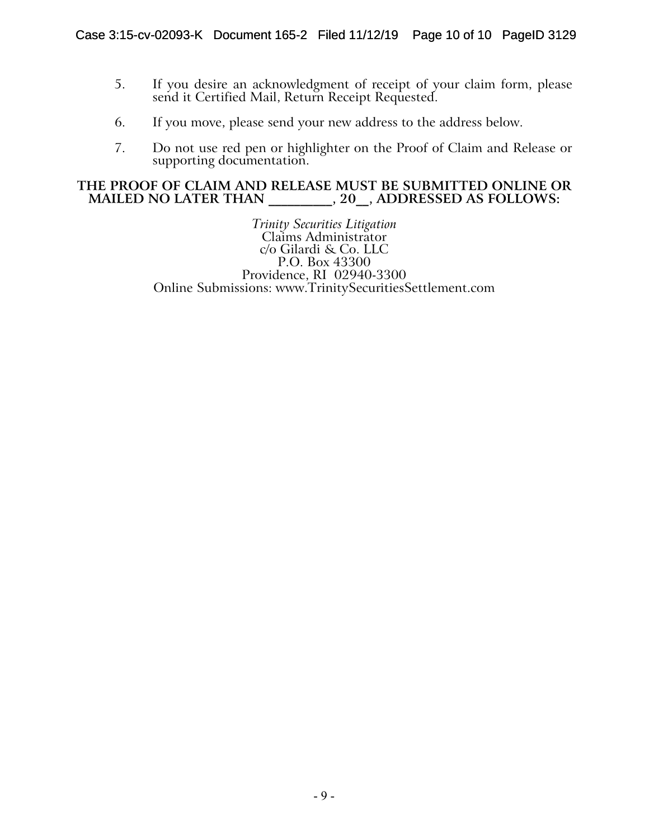- 5. If you desire an acknowledgment of receipt of your claim form, please send it Certified Mail, Return Receipt Requested.
- 6. If you move, please send your new address to the address below.
- 7. Do not use red pen or highlighter on the Proof of Claim and Release or supporting documentation.

### **THE PROOF OF CLAIM AND RELEASE MUST BE SUBMITTED ONLINE OR**  MAILED NO LATER THAN  $, 20, 30, 4$ DDRESSED AS FOLLOWS:

*Trinity Securities Litigation* Claims Administrator c/o Gilardi & Co. LLC P.O. Box 43300 Providence, RI 02940-3300 Online Submissions: www.TrinitySecuritiesSettlement.com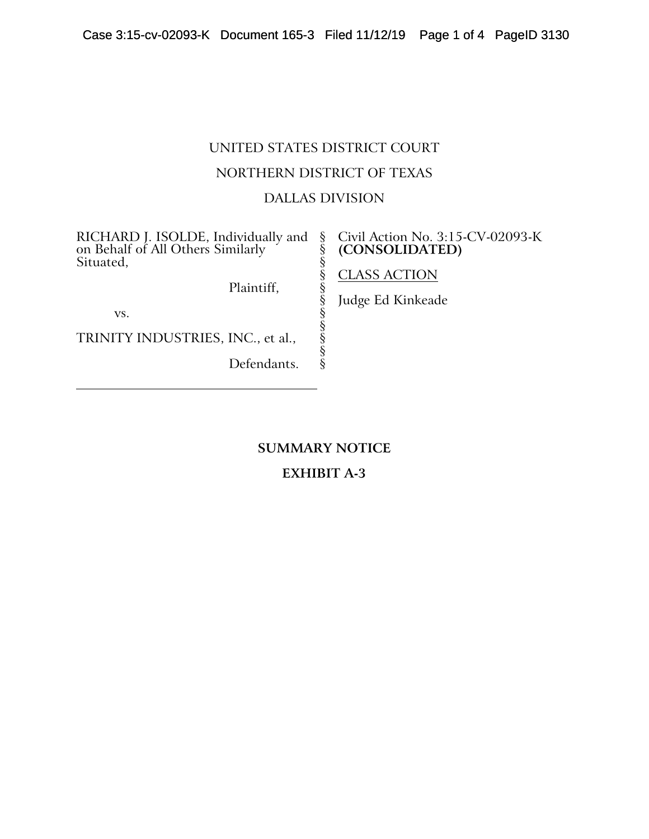# UNITED STATES DISTRICT COURT NORTHERN DISTRICT OF TEXAS DALLAS DIVISION

§ § § § § § § § § § §

RICHARD J. ISOLDE, Individually and on Behalf of All Others Similarly Situated,

Plaintiff,

vs.

TRINITY INDUSTRIES, INC., et al.,

Defendants.

### Civil Action No. 3:15-CV-02093-K **(CONSOLIDATED)**

CLASS ACTION

Judge Ed Kinkeade

**SUMMARY NOTICE**

**EXHIBIT A-3**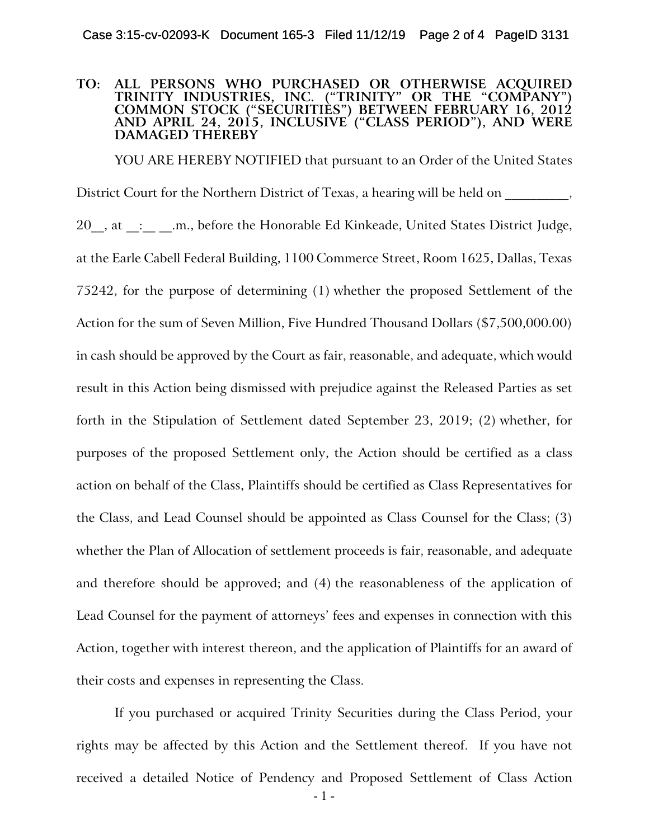#### **TO: ALL PERSONS WHO PURCHASED OR OTHERWISE ACQUIRED TRINITY INDUSTRIES, INC. ("TRINITY" OR THE "COMPANY") COMMON STOCK ("SECURITIES") BETWEEN FEBRUARY 16, 2012 AND APRIL 24, 2015, INCLUSIVE ("CLASS PERIOD"), AND WERE DAMAGED THEREBY**

YOU ARE HEREBY NOTIFIED that pursuant to an Order of the United States District Court for the Northern District of Texas, a hearing will be held on 20 , at : .... ... before the Honorable Ed Kinkeade, United States District Judge, at the Earle Cabell Federal Building, 1100 Commerce Street, Room 1625, Dallas, Texas 75242, for the purpose of determining (1) whether the proposed Settlement of the Action for the sum of Seven Million, Five Hundred Thousand Dollars (\$7,500,000.00) in cash should be approved by the Court as fair, reasonable, and adequate, which would result in this Action being dismissed with prejudice against the Released Parties as set forth in the Stipulation of Settlement dated September 23, 2019; (2) whether, for purposes of the proposed Settlement only, the Action should be certified as a class action on behalf of the Class, Plaintiffs should be certified as Class Representatives for the Class, and Lead Counsel should be appointed as Class Counsel for the Class; (3) whether the Plan of Allocation of settlement proceeds is fair, reasonable, and adequate and therefore should be approved; and (4) the reasonableness of the application of Lead Counsel for the payment of attorneys' fees and expenses in connection with this Action, together with interest thereon, and the application of Plaintiffs for an award of their costs and expenses in representing the Class.

If you purchased or acquired Trinity Securities during the Class Period, your rights may be affected by this Action and the Settlement thereof. If you have not received a detailed Notice of Pendency and Proposed Settlement of Class Action

- 1 -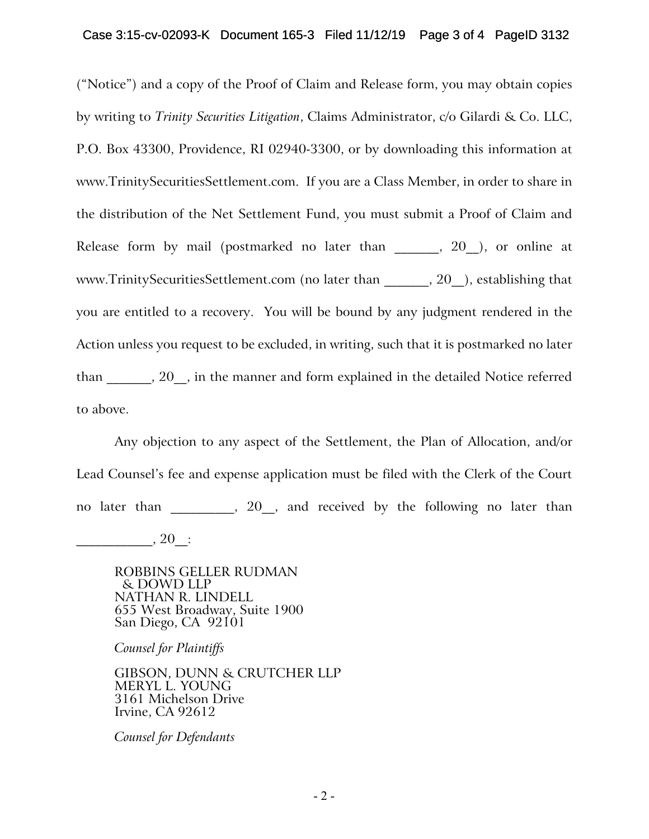("Notice") and a copy of the Proof of Claim and Release form, you may obtain copies by writing to *Trinity Securities Litigation*, Claims Administrator, c/o Gilardi & Co. LLC, P.O. Box 43300, Providence, RI 02940-3300, or by downloading this information at www.TrinitySecuritiesSettlement.com. If you are a Class Member, in order to share in the distribution of the Net Settlement Fund, you must submit a Proof of Claim and Release form by mail (postmarked no later than  $\_\_\_$ , 20, or online at www.TrinitySecuritiesSettlement.com (no later than fig. 20 ), establishing that you are entitled to a recovery. You will be bound by any judgment rendered in the Action unless you request to be excluded, in writing, such that it is postmarked no later than \_\_\_\_\_\_\_, 20\_\_, in the manner and form explained in the detailed Notice referred to above.

Any objection to any aspect of the Settlement, the Plan of Allocation, and/or Lead Counsel's fee and expense application must be filed with the Clerk of the Court no later than  $\frac{1}{20}$ , and received by the following no later than

 $\frac{1}{20}$ , 20\_

ROBBINS GELLER RUDMAN & DOWD LLP NATHAN R. LINDELL 655 West Broadway, Suite 1900 San Diego, CA 92101

*Counsel for Plaintiffs*

GIBSON, DUNN & CRUTCHER LLP MERYL L. YOUNG 3161 Michelson Drive Irvine, CA 92612

*Counsel for Defendants*